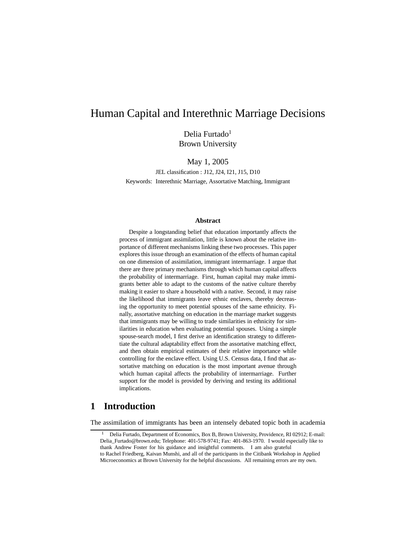# Human Capital and Interethnic Marriage Decisions

Delia Furtado<sup>1</sup> Brown University

May 1, 2005

JEL classification : J12, J24, I21, J15, D10 Keywords: Interethnic Marriage, Assortative Matching, Immigrant

#### **Abstract**

Despite a longstanding belief that education importantly affects the process of immigrant assimilation, little is known about the relative importance of different mechanisms linking these two processes. This paper explores this issue through an examination of the effects of human capital on one dimension of assimilation, immigrant intermarriage. I argue that there are three primary mechanisms through which human capital affects the probability of intermarriage. First, human capital may make immigrants better able to adapt to the customs of the native culture thereby making it easier to share a household with a native. Second, it may raise the likelihood that immigrants leave ethnic enclaves, thereby decreasing the opportunity to meet potential spouses of the same ethnicity. Finally, assortative matching on education in the marriage market suggests that immigrants may be willing to trade similarities in ethnicity for similarities in education when evaluating potential spouses. Using a simple spouse-search model, I first derive an identification strategy to differentiate the cultural adaptability effect from the assortative matching effect, and then obtain empirical estimates of their relative importance while controlling for the enclave effect. Using U.S. Census data, I find that assortative matching on education is the most important avenue through which human capital affects the probability of intermarriage. Further support for the model is provided by deriving and testing its additional implications.

# **1 Introduction**

The assimilation of immigrants has been an intensely debated topic both in academia

<sup>1</sup> Delia Furtado, Department of Economics, Box B, Brown University, Providence, RI 02912; E-mail: Delia\_Furtado@brown.edu; Telephone: 401-578-9741; Fax: 401-863-1970. I would especially like to thank Andrew Foster for his guidance and insightful comments. I am also grateful to Rachel Friedberg, Kaivan Munshi, and all of the participants in the Citibank Workshop in Applied Microeconomics at Brown University for the helpful discussions. All remaining errors are my own.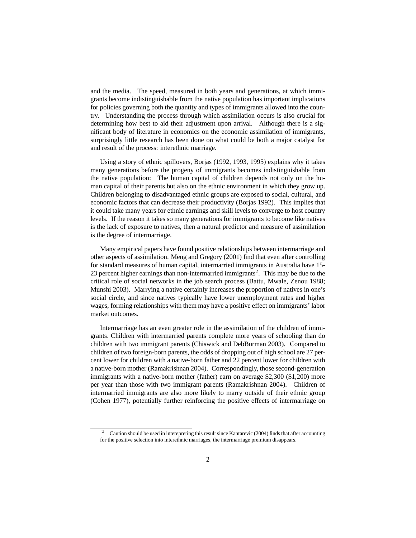and the media. The speed, measured in both years and generations, at which immigrants become indistinguishable from the native population has important implications for policies governing both the quantity and types of immigrants allowed into the country. Understanding the process through which assimilation occurs is also crucial for determining how best to aid their adjustment upon arrival. Although there is a significant body of literature in economics on the economic assimilation of immigrants, surprisingly little research has been done on what could be both a major catalyst for and result of the process: interethnic marriage.

Using a story of ethnic spillovers, Borjas (1992, 1993, 1995) explains why it takes many generations before the progeny of immigrants becomes indistinguishable from the native population: The human capital of children depends not only on the human capital of their parents but also on the ethnic environment in which they grow up. Children belonging to disadvantaged ethnic groups are exposed to social, cultural, and economic factors that can decrease their productivity (Borjas 1992). This implies that it could take many years for ethnic earnings and skill levels to converge to host country levels. If the reason it takes so many generations for immigrants to become like natives is the lack of exposure to natives, then a natural predictor and measure of assimilation is the degree of intermarriage.

Many empirical papers have found positive relationships between intermarriage and other aspects of assimilation. Meng and Gregory (2001) find that even after controlling for standard measures of human capital, intermarried immigrants in Australia have 15- 23 percent higher earnings than non-intermarried immigrants<sup>2</sup>. This may be due to the critical role of social networks in the job search process (Battu, Mwale, Zenou 1988; Munshi 2003). Marrying a native certainly increases the proportion of natives in one's social circle, and since natives typically have lower unemployment rates and higher wages, forming relationships with them may have a positive effect on immigrants' labor market outcomes.

Intermarriage has an even greater role in the assimilation of the children of immigrants. Children with intermarried parents complete more years of schooling than do children with two immigrant parents (Chiswick and DebBurman 2003). Compared to children of two foreign-born parents, the odds of dropping out of high school are 27 percent lower for children with a native-born father and 22 percent lower for children with a native-born mother (Ramakrishnan 2004). Correspondingly, those second-generation immigrants with a native-born mother (father) earn on average \$2,300 (\$1,200) more per year than those with two immigrant parents (Ramakrishnan 2004). Children of intermarried immigrants are also more likely to marry outside of their ethnic group (Cohen 1977), potentially further reinforcing the positive effects of intermarriage on

<sup>&</sup>lt;sup>2</sup> Caution should be used in interepreting this result since Kantarevic (2004) finds that after accounting for the positive selection into interethnic marriages, the intermarriage premium disappears.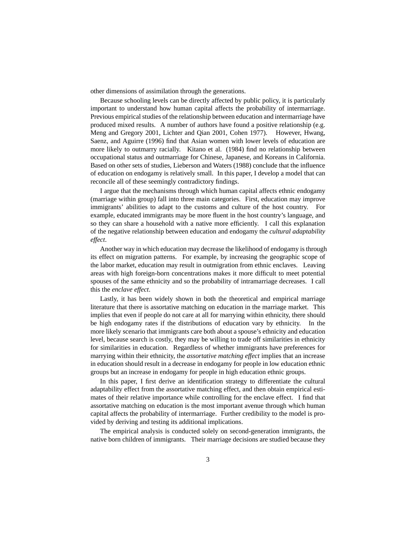other dimensions of assimilation through the generations.

Because schooling levels can be directly affected by public policy, it is particularly important to understand how human capital affects the probability of intermarriage. Previous empirical studies of the relationship between education and intermarriage have produced mixed results. A number of authors have found a positive relationship (e.g. Meng and Gregory 2001, Lichter and Qian 2001, Cohen 1977). However, Hwang, Saenz, and Aguirre (1996) find that Asian women with lower levels of education are more likely to outmarry racially. Kitano et al. (1984) find no relationship between occupational status and outmarriage for Chinese, Japanese, and Koreans in California. Based on other sets of studies, Lieberson and Waters (1988) conclude that the influence of education on endogamy is relatively small. In this paper, I develop a model that can reconcile all of these seemingly contradictory findings.

I argue that the mechanisms through which human capital affects ethnic endogamy (marriage within group) fall into three main categories. First, education may improve immigrants' abilities to adapt to the customs and culture of the host country. For example, educated immigrants may be more fluent in the host country's language, and so they can share a household with a native more efficiently. I call this explanation of the negative relationship between education and endogamy the *cultural adaptability effect*.

Another way in which education may decrease the likelihood of endogamy is through its effect on migration patterns. For example, by increasing the geographic scope of the labor market, education may result in outmigration from ethnic enclaves. Leaving areas with high foreign-born concentrations makes it more difficult to meet potential spouses of the same ethnicity and so the probability of intramarriage decreases. I call this the *enclave effect*.

Lastly, it has been widely shown in both the theoretical and empirical marriage literature that there is assortative matching on education in the marriage market. This implies that even if people do not care at all for marrying within ethnicity, there should be high endogamy rates if the distributions of education vary by ethnicity. In the more likely scenario that immigrants care both about a spouse's ethnicity and education level, because search is costly, they may be willing to trade off similarities in ethnicity for similarities in education. Regardless of whether immigrants have preferences for marrying within their ethnicity, the *assortative matching effect* implies that an increase in education should result in a decrease in endogamy for people in low education ethnic groups but an increase in endogamy for people in high education ethnic groups.

In this paper, I first derive an identification strategy to differentiate the cultural adaptability effect from the assortative matching effect, and then obtain empirical estimates of their relative importance while controlling for the enclave effect. I find that assortative matching on education is the most important avenue through which human capital affects the probability of intermarriage. Further credibility to the model is provided by deriving and testing its additional implications.

The empirical analysis is conducted solely on second-generation immigrants, the native born children of immigrants. Their marriage decisions are studied because they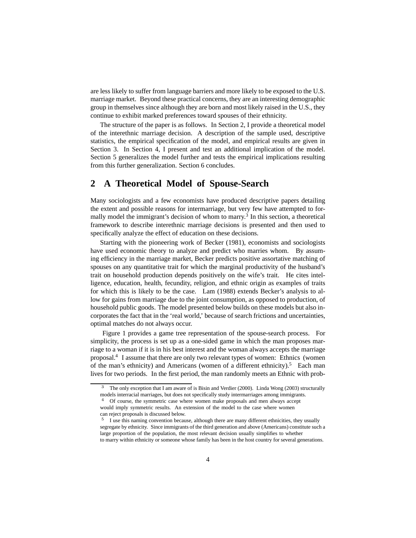are less likely to suffer from language barriers and more likely to be exposed to the U.S. marriage market. Beyond these practical concerns, they are an interesting demographic group in themselves since although they are born and most likely raised in the U.S., they continue to exhibit marked preferences toward spouses of their ethnicity.

The structure of the paper is as follows. In Section 2, I provide a theoretical model of the interethnic marriage decision. A description of the sample used, descriptive statistics, the empirical specification of the model, and empirical results are given in Section 3. In Section 4, I present and test an additional implication of the model. Section 5 generalizes the model further and tests the empirical implications resulting from this further generalization. Section 6 concludes.

# **2 A Theoretical Model of Spouse-Search**

Many sociologists and a few economists have produced descriptive papers detailing the extent and possible reasons for intermarriage, but very few have attempted to formally model the immigrant's decision of whom to marry.<sup>3</sup> In this section, a theoretical framework to describe interethnic marriage decisions is presented and then used to specifically analyze the effect of education on these decisions.

Starting with the pioneering work of Becker (1981), economists and sociologists have used economic theory to analyze and predict who marries whom. By assuming efficiency in the marriage market, Becker predicts positive assortative matching of spouses on any quantitative trait for which the marginal productivity of the husband's trait on household production depends positively on the wife's trait. He cites intelligence, education, health, fecundity, religion, and ethnic origin as examples of traits for which this is likely to be the case. Lam (1988) extends Becker's analysis to allow for gains from marriage due to the joint consumption, as opposed to production, of household public goods. The model presented below builds on these models but also incorporates the fact that in the 'real world,' because of search frictions and uncertainties, optimal matches do not always occur.

Figure 1 provides a game tree representation of the spouse-search process. For simplicity, the process is set up as a one-sided game in which the man proposes marriage to a woman if it is in his best interest and the woman always accepts the marriage proposal.4 I assume that there are only two relevant types of women: Ethnics (women of the man's ethnicity) and Americans (women of a different ethnicity).<sup>5</sup> Each man lives for two periods. In the first period, the man randomly meets an Ethnic with prob-

The only exception that I am aware of is Bisin and Verdier (2000). Linda Wong (2003) structurally models interracial marriages, but does not specifically study intermarriages among immigrants.

<sup>&</sup>lt;sup>4</sup> Of course, the symmetric case where women make proposals and men always accept would imply symmetric results. An extension of the model to the case where women can reject proposals is discussed below.

<sup>&</sup>lt;sup>5</sup> I use this naming convention because, although there are many different ethnicities, they usually segregate by ethnicity. Since immigrants of the third generation and above (Americans) constitute such a large proportion of the population, the most relevant decision usually simplifies to whether to marry within ethnicity or someone whose family has been in the host country for several generations.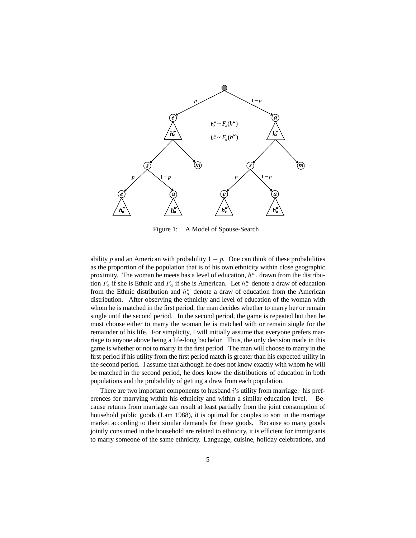

Figure 1: A Model of Spouse-Search

ability p and an American with probability  $1 - p$ . One can think of these probabilities as the proportion of the population that is of his own ethnicity within close geographic proximity. The woman he meets has a level of education,  $h<sup>w</sup>$ , drawn from the distribution  $F_e$  if she is Ethnic and  $F_a$  if she is American. Let  $h_e^w$  denote a draw of education from the Ethnic distribution and  $h_a^w$  denote a draw of education from the American distribution. After observing the ethnicity and level of education of the woman with whom he is matched in the first period, the man decides whether to marry her or remain single until the second period. In the second period, the game is repeated but then he must choose either to marry the woman he is matched with or remain single for the remainder of his life. For simplicity, I will initially assume that everyone prefers marriage to anyone above being a life-long bachelor. Thus, the only decision made in this game is whether or not to marry in the first period. The man will choose to marry in the first period if his utility from the first period match is greater than his expected utility in the second period. I assume that although he does not know exactly with whom he will be matched in the second period, he does know the distributions of education in both populations and the probability of getting a draw from each population.

There are two important components to husband i's utility from marriage: his preferences for marrying within his ethnicity and within a similar education level. Because returns from marriage can result at least partially from the joint consumption of household public goods (Lam 1988), it is optimal for couples to sort in the marriage market according to their similar demands for these goods. Because so many goods jointly consumed in the household are related to ethnicity, it is efficient for immigrants to marry someone of the same ethnicity. Language, cuisine, holiday celebrations, and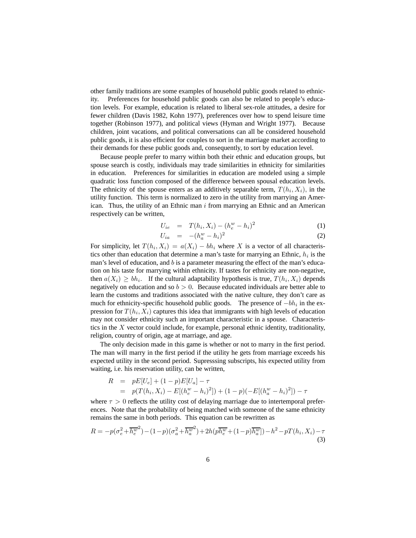other family traditions are some examples of household public goods related to ethnicity. Preferences for household public goods can also be related to people's education levels. For example, education is related to liberal sex-role attitudes, a desire for fewer children (Davis 1982, Kohn 1977), preferences over how to spend leisure time together (Robinson 1977), and political views (Hyman and Wright 1977). Because children, joint vacations, and political conversations can all be considered household public goods, it is also efficient for couples to sort in the marriage market according to their demands for these public goods and, consequently, to sort by education level.

Because people prefer to marry within both their ethnic and education groups, but spouse search is costly, individuals may trade similarities in ethnicity for similarities in education. Preferences for similarities in education are modeled using a simple quadratic loss function composed of the difference between spousal education levels. The ethnicity of the spouse enters as an additively separable term,  $T(h_i, X_i)$ , in the utility function. This term is normalized to zero in the utility from marrying an American. Thus, the utility of an Ethnic man  $i$  from marrying an Ethnic and an American respectively can be written,

$$
U_{ie} = T(h_i, X_i) - (h_e^w - h_i)^2
$$
 (1)

$$
U_{ia} = -(h_a^w - h_i)^2
$$
 (2)

For simplicity, let  $T(h_i, X_i) = a(X_i) - bh_i$  where X is a vector of all characteristics other than education that determine a man's taste for marrying an Ethnic,  $h_i$  is the man's level of education, and  $b$  is a parameter measuring the effect of the man's education on his taste for marrying within ethnicity. If tastes for ethnicity are non-negative, then  $a(X_i) \geq bh_i$ . If the cultural adaptability hypothesis is true,  $T(h_i, X_i)$  depends negatively on education and so  $b > 0$ . Because educated individuals are better able to learn the customs and traditions associated with the native culture, they don't care as much for ethnicity-specific household public goods. The presence of  $-bh_i$  in the expression for  $T(h_i, X_i)$  captures this idea that immigrants with high levels of education may not consider ethnicity such an important characteristic in a spouse. Characteristics in the  $X$  vector could include, for example, personal ethnic identity, traditionality, religion, country of origin, age at marriage, and age.

The only decision made in this game is whether or not to marry in the first period. The man will marry in the first period if the utility he gets from marriage exceeds his expected utility in the second period. Supresssing subscripts, his expected utility from waiting, i.e. his reservation utility, can be written,

$$
R = pE[U_e] + (1-p)E[U_a] - \tau
$$
  
=  $p(T(h_i, X_i) - E[(h_e^w - h_i)^2]) + (1-p)(-E[(h_a^w - h_i)^2]) - \tau$ 

where  $\tau > 0$  reflects the utility cost of delaying marriage due to intertemporal preferences. Note that the probability of being matched with someone of the same ethnicity remains the same in both periods. This equation can be rewritten as

$$
R = -p(\sigma_e^2 + \overline{h_e^w}^2) - (1 - p)(\sigma_a^2 + \overline{h_a^w}^2) + 2h(p\overline{h_e^w} + (1 - p)\overline{h_a^w}]) - h^2 - pT(h_i, X_i) - \tau
$$
\n(3)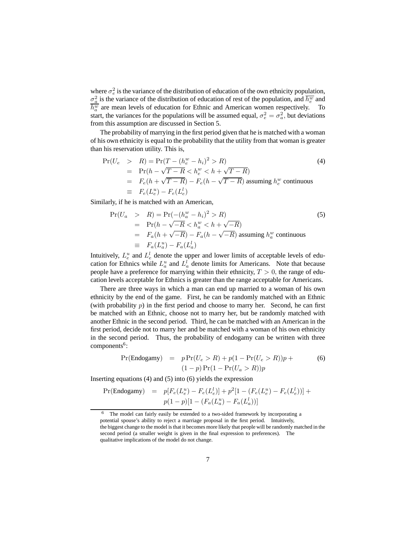where  $\sigma_e^2$  is the variance of the distribution of education of the own ethnicity population,  $\sigma_a^2$  is the variance of the distribution of education of rest of the population, and  $\overline{h_e^w}$  and  $\overline{h_a^w}$  are mean levels of education for Ethnic and American women respectively. To start, the variances for the populations will be assumed equal,  $\sigma_e^2 = \sigma_a^2$ , but deviations from this assumption are discussed in Section 5.

The probability of marrying in the first period given that he is matched with a woman of his own ethnicity is equal to the probability that the utility from that woman is greater than his reservation utility. This is,

$$
\Pr(U_e > R) = \Pr(T - (h_e^w - h_i)^2 > R)
$$
\n
$$
= \Pr(h - \sqrt{T - R} < h_e^w < h + \sqrt{T - R})
$$
\n
$$
= F_e(h + \sqrt{T - R}) - F_e(h - \sqrt{T - R}) \text{ assuming } h_e^w \text{ continuous}
$$
\n
$$
\equiv F_e(L_e^u) - F_e(L_e^l)
$$
\n(4)

Similarly, if he is matched with an American,

$$
\Pr(U_a > R) = \Pr(-(h_a^w - h_i)^2 > R)
$$
\n
$$
= \Pr(h - \sqrt{-R} < h_a^w < h + \sqrt{-R})
$$
\n
$$
= F_a(h + \sqrt{-R}) - F_a(h - \sqrt{-R}) \text{ assuming } h_a^w \text{ continuous}
$$
\n
$$
\equiv F_a(L_a^u) - F_a(L_a^l)
$$
\n(5)

Intuitively,  $L_e^u$  and  $L_e^l$  denote the upper and lower limits of acceptable levels of education for Ethnics while  $L_a^u$  and  $L_a^l$  denote limits for Americans. Note that because people have a preference for marrying within their ethnicity,  $T > 0$ , the range of education levels acceptable for Ethnics is greater than the range acceptable for Americans.

There are three ways in which a man can end up married to a woman of his own ethnicity by the end of the game. First, he can be randomly matched with an Ethnic (with probability  $p$ ) in the first period and choose to marry her. Second, he can first be matched with an Ethnic, choose not to marry her, but be randomly matched with another Ethnic in the second period. Third, he can be matched with an American in the first period, decide not to marry her and be matched with a woman of his own ethnicity in the second period. Thus, the probability of endogamy can be written with three  $components<sup>6</sup>$ :

$$
Pr(Endogamy) = p Pr(U_e > R) + p(1 - Pr(U_e > R))p + (1 - p) Pr(1 - Pr(U_a > R))p
$$
\n(6)

Inserting equations (4) and (5) into (6) yields the expression

$$
\Pr(\text{Endogamy}) = p[F_e(L_e^u) - F_e(L_e^l)] + p^2[1 - (F_e(L_e^u) - F_e(L_e^l))] + p(1-p)[1 - (F_a(L_a^u) - F_a(L_a^l))]
$$

<sup>6</sup> The model can fairly easily be extended to a two-sided framework by incorporating a potential spouse's ability to reject a marriage proposal in the first period. Intuitively, the biggest change to the model is that it becomes more likely that people will be randomly matched in the second period (a smaller weight is given in the final expression to preferences). The qualitative implications of the model do not change.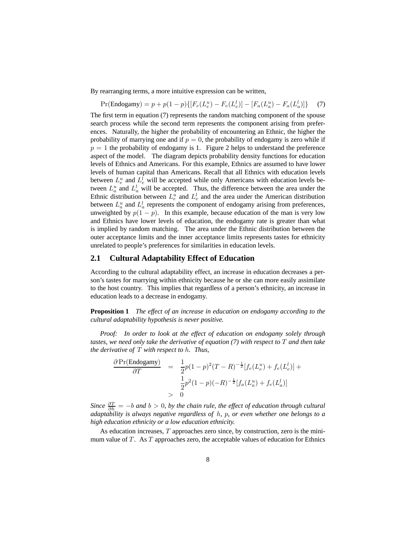By rearranging terms, a more intuitive expression can be written,

$$
Pr(\text{Endogamy}) = p + p(1 - p) \{ [F_e(L_e^u) - F_e(L_e^l)] - [F_a(L_a^u) - F_a(L_a^l)] \} \tag{7}
$$

The first term in equation (7) represents the random matching component of the spouse search process while the second term represents the component arising from preferences. Naturally, the higher the probability of encountering an Ethnic, the higher the probability of marrying one and if  $p = 0$ , the probability of endogamy is zero while if  $p = 1$  the probability of endogamy is 1. Figure 2 helps to understand the preference aspect of the model. The diagram depicts probability density functions for education levels of Ethnics and Americans. For this example, Ethnics are assumed to have lower levels of human capital than Americans. Recall that all Ethnics with education levels between  $L_e^u$  and  $L_e^l$  will be accepted while only Americans with education levels between  $L_a^u$  and  $L_a^l$  will be accepted. Thus, the difference between the area under the Ethnic distribution between  $L_e^u$  and  $L_e^l$  and the area under the American distribution between  $L_a^u$  and  $L_a^l$  represents the component of endogamy arising from preferences, unweighted by  $p(1 - p)$ . In this example, because education of the man is very low and Ethnics have lower levels of education, the endogamy rate is greater than what is implied by random matching. The area under the Ethnic distribution between the outer acceptance limits and the inner acceptance limits represents tastes for ethnicity unrelated to people's preferences for similarities in education levels.

#### **2.1 Cultural Adaptability Effect of Education**

According to the cultural adaptability effect, an increase in education decreases a person's tastes for marrying within ethnicity because he or she can more easily assimilate to the host country. This implies that regardless of a person's ethnicity, an increase in education leads to a decrease in endogamy.

**Proposition 1** *The effect of an increase in education on endogamy according to the cultural adaptability hypothesis is never positive.*

*Proof: In order to look at the effect of education on endogamy solely through tastes, we need only take the derivative of equation (7) with respect to* T *and then take the derivative of* T *with respect to* h*. Thus,*

$$
\frac{\partial \Pr(\text{Endogamy})}{\partial T} = \frac{1}{2}p(1-p)^2(T-R)^{-\frac{1}{2}}[f_e(L_e^u) + f_e(L_e^l)] + \frac{1}{2}p^2(1-p)(-R)^{-\frac{1}{2}}[f_a(L_a^u) + f_e(L_a^l)]
$$
  
> 0

*Since*  $\frac{\partial T}{\partial h} = -b$  *and*  $b > 0$ , *by the chain rule, the effect of education through cultural adaptability is always negative regardless of* h*,* p*, or even whether one belongs to a high education ethnicity or a low education ethnicity.*

As education increases, T approaches zero since, by construction, zero is the minimum value of  $T$ . As  $T$  approaches zero, the acceptable values of education for Ethnics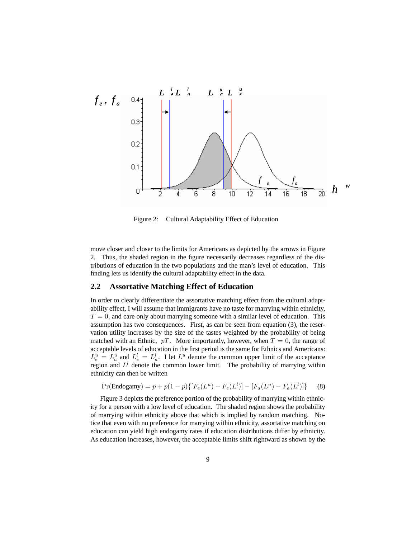

Figure 2: Cultural Adaptability Effect of Education

move closer and closer to the limits for Americans as depicted by the arrows in Figure 2. Thus, the shaded region in the figure necessarily decreases regardless of the distributions of education in the two populations and the man's level of education. This finding lets us identify the cultural adaptability effect in the data.

#### **2.2 Assortative Matching Effect of Education**

In order to clearly differentiate the assortative matching effect from the cultural adaptability effect, I will assume that immigrants have no taste for marrying within ethnicity,  $T = 0$ , and care only about marrying someone with a similar level of education. This assumption has two consequences. First, as can be seen from equation (3), the reservation utility increases by the size of the tastes weighted by the probability of being matched with an Ethnic,  $pT$ . More importantly, however, when  $T = 0$ , the range of acceptable levels of education in the first period is the same for Ethnics and Americans:  $L_e^u = L_a^u$  and  $L_e^l = L_a^l$ . I let  $L^u$  denote the common upper limit of the acceptance region and  $L^l$  denote the common lower limit. The probability of marrying within ethnicity can then be written

$$
Pr(\text{Endogamy}) = p + p(1 - p)\{[F_e(L^u) - F_e(L^l)] - [F_a(L^u) - F_a(L^l)]\}
$$
 (8)

Figure 3 depicts the preference portion of the probability of marrying within ethnicity for a person with a low level of education. The shaded region shows the probability of marrying within ethnicity above that which is implied by random matching. Notice that even with no preference for marrying within ethnicity, assortative matching on education can yield high endogamy rates if education distributions differ by ethnicity. As education increases, however, the acceptable limits shift rightward as shown by the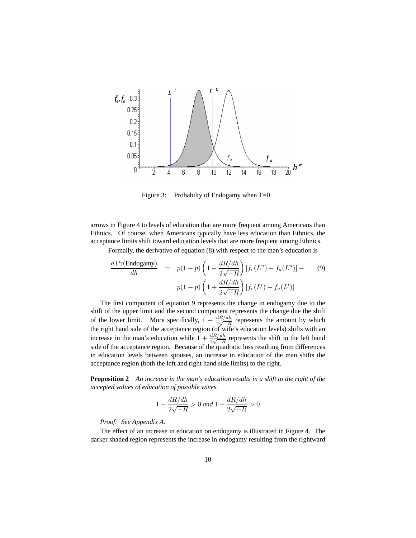

Figure 3: Probabilty of Endogamy when  $T=0$ 

arrows in Figure 4 to levels of education that are more frequent among Americans than Ethnics. Of course, when Americans typically have less education than Ethnics, the acceptance limits shift toward education levels that are more frequent among Ethnics.

Formally, the derivative of equation (8) with respect to the man's education is

$$
\frac{d\Pr(\text{Endogamy})}{dh} = p(1-p)\left(1 - \frac{dR/dh}{2\sqrt{-R}}\right)[f_e(L^u) - f_a(L^u)] - (9)
$$
\n
$$
p(1-p)\left(1 + \frac{dR/dh}{2\sqrt{-R}}\right)[f_e(L^l) - f_a(L^l)]
$$

The first component of equation 9 represents the change in endogamy due to the shift of the upper limit and the second component represents the change due the shift of the lower limit. More specifically,  $1 - \frac{dR/dh}{2\sqrt{-R}}$  represents the amount by which the right hand side of the acceptance region (of wife's education levels) shifts with an increase in the man's education while  $1 + \frac{dR/dh}{2\sqrt{-R}}$  represents the shift in the left hand side of the acceptance region. Because of the quadratic loss resulting from differences in education levels between spouses, an increase in education of the man shifts the acceptance region (both the left and right hand side limits) to the right.

**Proposition 2** *An increase in the man's education results in a shift to the right of the accepted values of education of possible wives.*

$$
1 - \frac{dR/dh}{2\sqrt{-R}} > 0 \text{ and } 1 + \frac{dR/dh}{2\sqrt{-R}} > 0
$$

*Proof: See Appendix A.*

The effect of an increase in education on endogamy is illustrated in Figure 4. The darker shaded region represents the increase in endogamy resulting from the rightward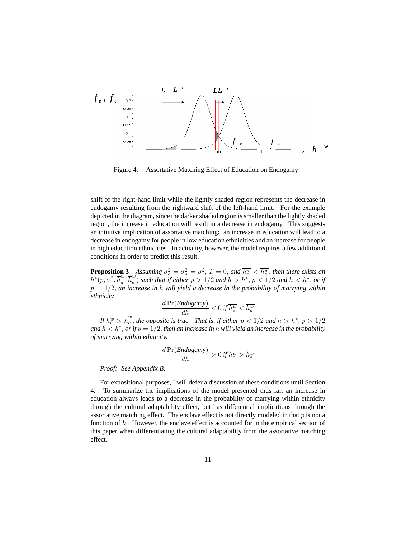

Figure 4: Assortative Matching Effect of Education on Endogamy

shift of the right-hand limit while the lightly shaded region represents the decrease in endogamy resulting from the rightward shift of the left-hand limit. For the example depicted in the diagram, since the darker shaded region is smaller than the lightly shaded region, the increase in education will result in a decrease in endogamy. This suggests an intuitive implication of assortative matching: an increase in education will lead to a decrease in endogamy for people in low education ethnicities and an increase for people in high education ethnicities. In actuality, however, the model requires a few additional conditions in order to predict this result.

**Proposition 3** *Assuming*  $\sigma_e^2 = \sigma_a^2 = \sigma^2$ ,  $T = 0$ , and  $\overline{h_e^w} < \overline{h_a^w}$ , then there exists an  $h^*(p, \sigma^2, \overline{h}_a^w, \overline{h}_e^w)$  such that if either  $p > 1/2$  and  $h > h^*$ ,  $p < 1/2$  and  $h < h^*$ , or if p = 1/2, *an increase in* h *will yield a decrease in the probability of marrying within ethnicity.*

$$
\frac{d\Pr(Endogamy)}{dh} < 0 \text{ if } \overline{h_e^w} < \overline{h_a^w}
$$

*If*  $\overline{h_e^w} > \overline{h}_a^w$ , the opposite is true. That is, if either  $p < 1/2$  and  $h > h^*$ ,  $p > 1/2$ and  $h < h^*$ , or if  $p = 1/2$ , *then an increase in* h *will yield an increase in the probability of marrying within ethnicity.*

$$
\frac{d\Pr(Endogamy)}{dh} > 0 \text{ if } \overline{h_e^w} > \overline{h_a^w}
$$

*Proof: See Appendix B.*

For expositional purposes, I will defer a discussion of these conditions until Section 4. To summarize the implications of the model presented thus far, an increase in education always leads to a decrease in the probability of marrying within ethnicity through the cultural adaptability effect, but has differential implications through the assortative matching effect. The enclave effect is not directly modeled in that  $p$  is not a function of  $h$ . However, the enclave effect is accounted for in the empirical section of this paper when differentiating the cultural adaptability from the assortative matching effect.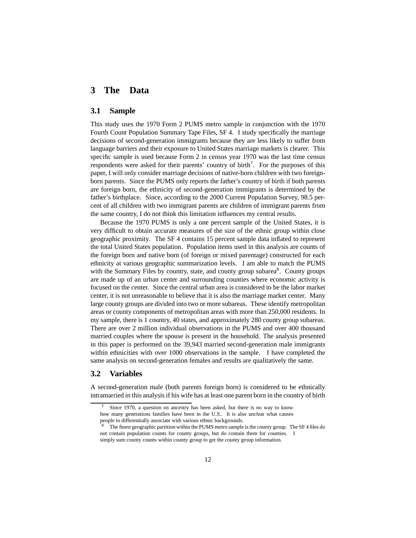## **3 The Data**

#### **3.1 Sample**

This study uses the 1970 Form 2 PUMS metro sample in conjunction with the 1970 Fourth Count Population Summary Tape Files, SF 4. I study specifically the marriage decisions of second-generation immigrants because they are less likely to suffer from language barriers and their exposure to United States marriage markets is clearer. This specific sample is used because Form 2 in census year 1970 was the last time census respondents were asked for their parents' country of birth<sup>7</sup>. For the purposes of this paper, I will only consider marriage decisions of native-born children with two foreignborn parents. Since the PUMS only reports the father's country of birth if both parents are foreign born, the ethnicity of second-generation immigrants is determined by the father's birthplace. Since, according to the 2000 Current Population Survey, 98.5 percent of all children with two immigrant parents are children of immigrant parents from the same country, I do not think this limitation influences my central results.

Because the 1970 PUMS is only a one percent sample of the United States, it is very difficult to obtain accurate measures of the size of the ethnic group within close geographic proximity. The SF 4 contains 15 percent sample data inflated to represent the total United States population. Population items used in this analysis are counts of the foreign born and native born (of foreign or mixed parentage) constructed for each ethnicity at various geographic summarization levels. I am able to match the PUMS with the Summary Files by country, state, and county group subarea<sup>8</sup>. County groups are made up of an urban center and surrounding counties where economic activity is focused on the center. Since the central urban area is considered to be the labor market center, it is not unreasonable to believe that it is also the marriage market center. Many large county groups are divided into two or more subareas. These identify metropolitan areas or county components of metropolitan areas with more than 250,000 residents. In my sample, there is 1 country, 40 states, and approximately 280 county group subareas. There are over 2 million individual observations in the PUMS and over 400 thousand married couples where the spouse is present in the household. The analysis presented in this paper is performed on the 39,943 married second-generation male immigrants within ethnicities with over 1000 observations in the sample. I have completed the same analysis on second-generation females and results are qualitatively the same.

### **3.2 Variables**

A second-generation male (both parents foreign born) is considered to be ethnically intramarried in this analysis if his wife has at least one parent born in the country of birth

Since 1970, a question on ancestry has been asked, but there is no way to know how many generations families have been in the U.S.. It is also unclear what causes people to differentially associate with various ethnic backgrounds.

<sup>8</sup> The finest geographic partition within the PUMS metro sample is the county group. The SF 4 files do not contain population counts for county groups, but do contain them for counties. I simply sum county counts within county group to get the county group information.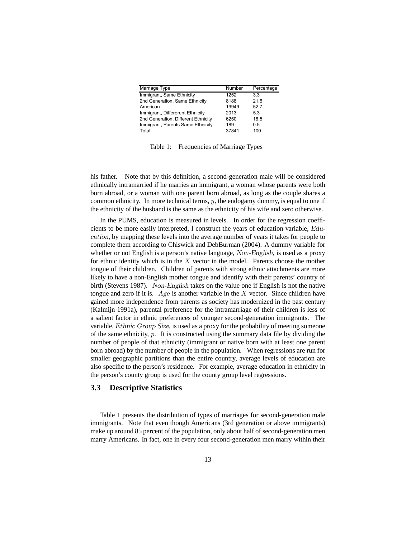| Marriage Type                       | Number | Percentage |
|-------------------------------------|--------|------------|
| Immigrant, Same Ethnicity           | 1252   | 3.3        |
| 2nd Generation, Same Ethnicity      | 8188   | 21.6       |
| American                            | 19949  | 52.7       |
| Immigrant, Differerent Ethnicity    | 2013   | 5.3        |
| 2nd Generation, Different Ethnicity | 6250   | 16.5       |
| Immigrant, Parents Same Ethnicity   | 189    | 0.5        |
| Total                               | 37841  | 100        |

Table 1: Frequencies of Marriage Types

his father. Note that by this definition, a second-generation male will be considered ethnically intramarried if he marries an immigrant, a woman whose parents were both born abroad, or a woman with one parent born abroad, as long as the couple shares a common ethnicity. In more technical terms,  $y$ , the endogamy dummy, is equal to one if the ethnicity of the husband is the same as the ethnicity of his wife and zero otherwise.

In the PUMS, education is measured in levels. In order for the regression coefficients to be more easily interpreted, I construct the years of education variable, Education, by mapping these levels into the average number of years it takes for people to complete them according to Chiswick and DebBurman (2004). A dummy variable for whether or not English is a person's native language, Non-English, is used as a proxy for ethnic identity which is in the  $X$  vector in the model. Parents choose the mother tongue of their children. Children of parents with strong ethnic attachments are more likely to have a non-English mother tongue and identify with their parents' country of birth (Stevens 1987). Non-English takes on the value one if English is not the native tongue and zero if it is.  $Age$  is another variable in the X vector. Since children have gained more independence from parents as society has modernized in the past century (Kalmijn 1991a), parental preference for the intramarriage of their children is less of a salient factor in ethnic preferences of younger second-generation immigrants. The variable, Ethnic Group Size, is used as a proxy for the probability of meeting someone of the same ethnicity,  $p$ . It is constructed using the summary data file by dividing the number of people of that ethnicity (immigrant or native born with at least one parent born abroad) by the number of people in the population. When regressions are run for smaller geographic partitions than the entire country, average levels of education are also specific to the person's residence. For example, average education in ethnicity in the person's county group is used for the county group level regressions.

#### **3.3 Descriptive Statistics**

Table 1 presents the distribution of types of marriages for second-generation male immigrants. Note that even though Americans (3rd generation or above immigrants) make up around 85 percent of the population, only about half of second-generation men marry Americans. In fact, one in every four second-generation men marry within their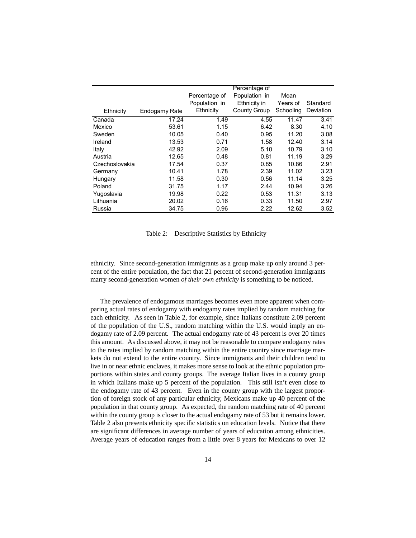|                |               |               | Percentage of |           |           |
|----------------|---------------|---------------|---------------|-----------|-----------|
|                |               | Percentage of | Population in | Mean      |           |
|                |               | Population in | Ethnicity in  | Years of  | Standard  |
| Ethnicity      | Endogamy Rate | Ethnicity     | County Group  | Schooling | Deviation |
| Canada         | 17.24         | 1.49          | 4.55          | 11.47     | 3.41      |
| Mexico         | 53.61         | 1.15          | 6.42          | 8.30      | 4.10      |
| Sweden         | 10.05         | 0.40          | 0.95          | 11.20     | 3.08      |
| Ireland        | 13.53         | 0.71          | 1.58          | 12.40     | 3.14      |
| Italy          | 42.92         | 2.09          | 5.10          | 10.79     | 3.10      |
| Austria        | 12.65         | 0.48          | 0.81          | 11.19     | 3.29      |
| Czechoslovakia | 17.54         | 0.37          | 0.85          | 10.86     | 2.91      |
| Germany        | 10.41         | 1.78          | 2.39          | 11.02     | 3.23      |
| Hungary        | 11.58         | 0.30          | 0.56          | 11.14     | 3.25      |
| Poland         | 31.75         | 1.17          | 2.44          | 10.94     | 3.26      |
| Yugoslavia     | 19.98         | 0.22          | 0.53          | 11.31     | 3.13      |
| Lithuania      | 20.02         | 0.16          | 0.33          | 11.50     | 2.97      |
| Russia         | 34.75         | 0.96          | 2.22          | 12.62     | 3.52      |

Table 2: Descriptive Statistics by Ethnicity

ethnicity. Since second-generation immigrants as a group make up only around 3 percent of the entire population, the fact that 21 percent of second-generation immigrants marry second-generation women *of their own ethnicity* is something to be noticed.

The prevalence of endogamous marriages becomes even more apparent when comparing actual rates of endogamy with endogamy rates implied by random matching for each ethnicity. As seen in Table 2, for example, since Italians constitute 2.09 percent of the population of the U.S., random matching within the U.S. would imply an endogamy rate of 2.09 percent. The actual endogamy rate of 43 percent is over 20 times this amount. As discussed above, it may not be reasonable to compare endogamy rates to the rates implied by random matching within the entire country since marriage markets do not extend to the entire country. Since immigrants and their children tend to live in or near ethnic enclaves, it makes more sense to look at the ethnic population proportions within states and county groups. The average Italian lives in a county group in which Italians make up 5 percent of the population. This still isn't even close to the endogamy rate of 43 percent. Even in the county group with the largest proportion of foreign stock of any particular ethnicity, Mexicans make up 40 percent of the population in that county group. As expected, the random matching rate of 40 percent within the county group is closer to the actual endogamy rate of 53 but it remains lower. Table 2 also presents ethnicity specific statistics on education levels. Notice that there are significant differences in average number of years of education among ethnicities. Average years of education ranges from a little over 8 years for Mexicans to over 12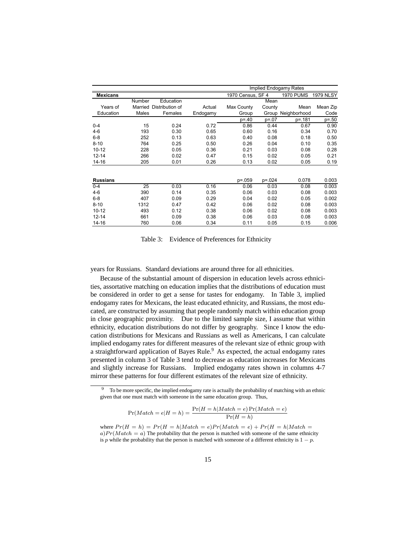|                 |         |                 |          | Implied Endogamy Rates |             |                    |                  |
|-----------------|---------|-----------------|----------|------------------------|-------------|--------------------|------------------|
| <b>Mexicans</b> |         |                 |          | 1970 Census, SF 4      |             | <b>1970 PUMS</b>   | <b>1979 NLSY</b> |
|                 | Number  | Education       |          |                        | Mean        |                    |                  |
| Years of        | Married | Distribution of | Actual   | Max County             | County      | Mean               | Mean Zip         |
| Education       | Males   | Females         | Endogamy | Group                  |             | Group Neighborhood | Code             |
|                 |         |                 |          | $p = 40$               | $p = 07$    | p=.181             | $p = 0.50$       |
| $0 - 4$         | 15      | 0.24            | 0.72     | 0.86                   | 0.44        | 0.67               | 0.90             |
| $4-6$           | 193     | 0.30            | 0.65     | 0.60                   | 0.16        | 0.34               | 0.70             |
| $6 - 8$         | 252     | 0.13            | 0.63     | 0.40                   | 0.08        | 0.18               | 0.50             |
| $8 - 10$        | 764     | 0.25            | 0.50     | 0.26                   | 0.04        | 0.10               | 0.35             |
| $10 - 12$       | 228     | 0.05            | 0.36     | 0.21                   | 0.03        | 0.08               | 0.28             |
| $12 - 14$       | 266     | 0.02            | 0.47     | 0.15                   | 0.02        | 0.05               | 0.21             |
| $14 - 16$       | 205     | 0.01            | 0.26     | 0.13                   | 0.02        | 0.05               | 0.19             |
|                 |         |                 |          |                        |             |                    |                  |
| <b>Russians</b> |         |                 |          | $p = 0.059$            | $p = 0.024$ | 0.078              | 0.003            |
| $0 - 4$         | 25      | 0.03            | 0.16     | 0.06                   | 0.03        | 0.08               | 0.003            |
| $4-6$           | 390     | 0.14            | 0.35     | 0.06                   | 0.03        | 0.08               | 0.003            |
| $6-8$           | 407     | 0.09            | 0.29     | 0.04                   | 0.02        | 0.05               | 0.002            |
| $8 - 10$        | 1312    | 0.47            | 0.42     | 0.06                   | 0.02        | 0.08               | 0.003            |
| $10 - 12$       | 493     | 0.12            | 0.38     | 0.06                   | 0.02        | 0.08               | 0.003            |
| $12 - 14$       | 661     | 0.09            | 0.38     | 0.06                   | 0.03        | 0.08               | 0.003            |
| $14 - 16$       | 760     | 0.06            | 0.34     | 0.11                   | 0.05        | 0.15               | 0.006            |

Table 3: Evidence of Preferences for Ethnicity

years for Russians. Standard deviations are around three for all ethnicities.

Because of the substantial amount of dispersion in education levels across ethnicities, assortative matching on education implies that the distributions of education must be considered in order to get a sense for tastes for endogamy. In Table 3, implied endogamy rates for Mexicans, the least educated ethnicity, and Russians, the most educated, are constructed by assuming that people randomly match within education group in close geographic proximity. Due to the limited sample size, I assume that within ethnicity, education distributions do not differ by geography. Since I know the education distributions for Mexicans and Russians as well as Americans, I can calculate implied endogamy rates for different measures of the relevant size of ethnic group with a straightforward application of Bayes Rule.<sup>9</sup> As expected, the actual endogamy rates presented in column 3 of Table 3 tend to decrease as education increases for Mexicans and slightly increase for Russians. Implied endogamy rates shown in columns 4-7 mirror these patterns for four different estimates of the relevant size of ethnicity.

$$
Pr(Match = e|H = h) = \frac{Pr(H = h|Match = e)Pr(Match = e)}{Pr(H = h)}
$$

where  $Pr(H = h) = Pr(H = h|Match = e)Pr(Match = e) + Pr(H = h|Match = e$  $a)Pr(Match = a)$  The probability that the person is matched with someone of the same ethnicity is p while the probability that the person is matched with someone of a different ethnicity is  $1 - p$ .

<sup>&</sup>lt;sup>9</sup> To be more specific, the implied endogamy rate is actually the probability of matching with an ethnic given that one must match with someone in the same education group. Thus,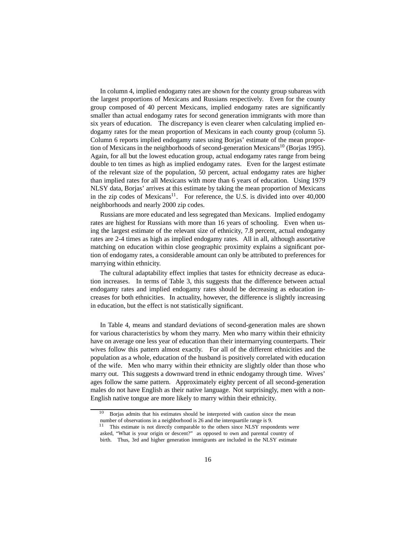In column 4, implied endogamy rates are shown for the county group subareas with the largest proportions of Mexicans and Russians respectively. Even for the county group composed of 40 percent Mexicans, implied endogamy rates are significantly smaller than actual endogamy rates for second generation immigrants with more than six years of education. The discrepancy is even clearer when calculating implied endogamy rates for the mean proportion of Mexicans in each county group (column 5). Column 6 reports implied endogamy rates using Borjas' estimate of the mean proportion of Mexicans in the neighborhoods of second-generation Mexicans<sup>10</sup> (Borjas 1995). Again, for all but the lowest education group, actual endogamy rates range from being double to ten times as high as implied endogamy rates. Even for the largest estimate of the relevant size of the population, 50 percent, actual endogamy rates are higher than implied rates for all Mexicans with more than 6 years of education. Using 1979 NLSY data, Borjas' arrives at this estimate by taking the mean proportion of Mexicans in the zip codes of Mexicans $11$ . For reference, the U.S. is divided into over 40,000 neighborhoods and nearly 2000 zip codes.

Russians are more educated and less segregated than Mexicans. Implied endogamy rates are highest for Russians with more than 16 years of schooling. Even when using the largest estimate of the relevant size of ethnicity, 7.8 percent, actual endogamy rates are 2-4 times as high as implied endogamy rates. All in all, although assortative matching on education within close geographic proximity explains a significant portion of endogamy rates, a considerable amount can only be attributed to preferences for marrying within ethnicity.

The cultural adaptability effect implies that tastes for ethnicity decrease as education increases. In terms of Table 3, this suggests that the difference between actual endogamy rates and implied endogamy rates should be decreasing as education increases for both ethnicities. In actuality, however, the difference is slightly increasing in education, but the effect is not statistically significant.

In Table 4, means and standard deviations of second-generation males are shown for various characteristics by whom they marry. Men who marry within their ethnicity have on average one less year of education than their intermarrying counterparts. Their wives follow this pattern almost exactly. For all of the different ethnicities and the population as a whole, education of the husband is positively correlated with education of the wife. Men who marry within their ethnicity are slightly older than those who marry out. This suggests a downward trend in ethnic endogamy through time. Wives' ages follow the same pattern. Approximately eighty percent of all second-generation males do not have English as their native language. Not surprisingly, men with a non-English native tongue are more likely to marry within their ethnicity.

<sup>10</sup> Borjas admits that his estimates should be interpreted with caution since the mean number of observations in a neighborhood is 26 and the interquartile range is 9.

 $11$  This estimate is not directly comparable to the others since NLSY respondents were asked, "What is your origin or descent?" as opposed to own and parental country of birth. Thus, 3rd and higher generation immigrants are included in the NLSY estimate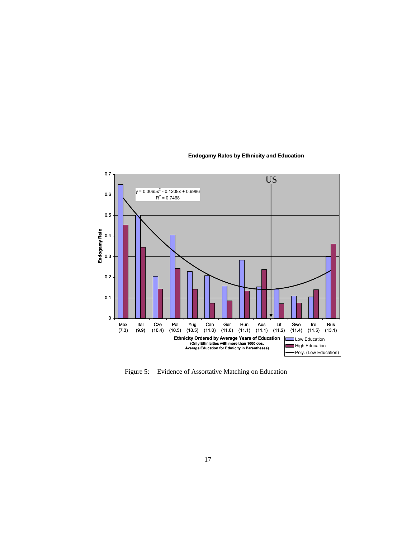

#### **Endogamy Rates by Ethnicity and Education**

Figure 5: Evidence of Assortative Matching on Education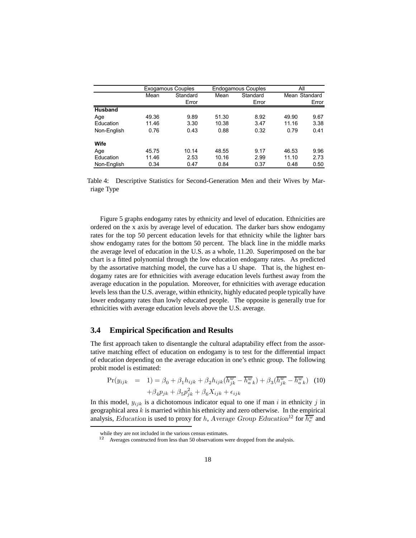|                |       | <b>Exogamous Couples</b> |       | <b>Endogamous Couples</b> | ΑIΙ           |       |
|----------------|-------|--------------------------|-------|---------------------------|---------------|-------|
|                | Mean  | Standard                 | Mean  | Standard                  | Mean Standard |       |
|                |       | Error                    |       | Error                     |               | Error |
| <b>Husband</b> |       |                          |       |                           |               |       |
| Age            | 49.36 | 9.89                     | 51.30 | 8.92                      | 49.90         | 9.67  |
| Education      | 11.46 | 3.30                     | 10.38 | 3.47                      | 11.16         | 3.38  |
| Non-English    | 0.76  | 0.43                     | 0.88  | 0.32                      | 0.79          | 0.41  |
| Wife           |       |                          |       |                           |               |       |
| Age            | 45.75 | 10.14                    | 48.55 | 9.17                      | 46.53         | 9.96  |
| Education      | 11.46 | 2.53                     | 10.16 | 2.99                      | 11.10         | 2.73  |
| Non-English    | 0.34  | 0.47                     | 0.84  | 0.37                      | 0.48          | 0.50  |

Table 4: Descriptive Statistics for Second-Generation Men and their Wives by Marriage Type

Figure 5 graphs endogamy rates by ethnicity and level of education. Ethnicities are ordered on the x axis by average level of education. The darker bars show endogamy rates for the top 50 percent education levels for that ethnicity while the lighter bars show endogamy rates for the bottom 50 percent. The black line in the middle marks the average level of education in the U.S. as a whole, 11.20. Superimposed on the bar chart is a fitted polynomial through the low education endogamy rates. As predicted by the assortative matching model, the curve has a U shape. That is, the highest endogamy rates are for ethnicities with average education levels furthest away from the average education in the population. Moreover, for ethnicities with average education levels less than the U.S. average, within ethnicity, highly educated people typically have lower endogamy rates than lowly educated people. The opposite is generally true for ethnicities with average education levels above the U.S. average.

### **3.4 Empirical Specification and Results**

The first approach taken to disentangle the cultural adaptability effect from the assortative matching effect of education on endogamy is to test for the differential impact of education depending on the average education in one's ethnic group. The following probit model is estimated:

$$
\Pr(y_{ijk} = 1) = \beta_0 + \beta_1 h_{ijk} + \beta_2 h_{ijk} (\overline{h_{jk}^w} - \overline{h_{a\ k}^w}) + \beta_3 (\overline{h_{jk}^w} - \overline{h_{a\ k}^w}) \tag{10}
$$

$$
+ \beta_4 p_{jk} + \beta_5 p_{jk}^2 + \beta_6 X_{ijk} + \epsilon_{ijk}
$$

In this model,  $y_{ijk}$  is a dichotomous indicator equal to one if man i in ethnicity j in geographical area  $k$  is married within his ethnicity and zero otherwise. In the empirical analysis, Education is used to proxy for h, Average Group Education<sup>12</sup> for  $\overline{h_{e}^{w}}$  and

while they are not included in the various census estimates.

<sup>12</sup> Averages constructed from less than 50 observations were dropped from the analysis.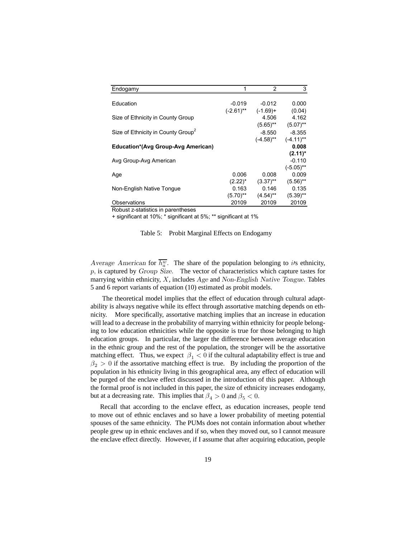| Endogamy                                       | 1            | $\mathcal{P}$ | 3            |
|------------------------------------------------|--------------|---------------|--------------|
|                                                |              |               |              |
| Education                                      | $-0.019$     | $-0.012$      | 0.000        |
|                                                | $(-2.61)$ ** | $(-1.69) +$   | (0.04)       |
| Size of Ethnicity in County Group              |              | 4.506         | 4.162        |
|                                                |              | $(5.65)$ **   | $(5.07)$ **  |
| Size of Ethnicity in County Group <sup>2</sup> |              | $-8.550$      | $-8.355$     |
|                                                |              | $(-4.58)$ **  | $(-4.11)$ ** |
| <b>Education*(Avg Group-Avg American)</b>      |              |               | 0.008        |
|                                                |              |               | $(2.11)^*$   |
| Avg Group-Avg American                         |              |               | $-0.110$     |
|                                                |              |               | $(-5.05)$ ** |
| Age                                            | 0.006        | 0.008         | 0.009        |
|                                                | $(2.22)^*$   | $(3.37)$ **   | $(5.56)$ **  |
| Non-English Native Tongue                      | 0.163        | 0.146         | 0.135        |
|                                                | $(5.70)$ **  | $(4.54)$ **   | $(5.39)$ **  |
| Observations                                   | 20109        | 20109         | 20109        |

Robust z-statistics in parentheses

+ significant at 10%; \* significant at 5%; \*\* significant at 1%

Table 5: Probit Marginal Effects on Endogamy

Average American for  $\overline{h_{\alpha}^w}$ . The share of the population belonging to its ethnicity,  $p$ , is captured by  $Group\ Size.$  The vector of characteristics which capture tastes for marrying within ethnicity,  $X$ , includes  $Age$  and  $Non-English$  Native Tongue. Tables 5 and 6 report variants of equation (10) estimated as probit models.

The theoretical model implies that the effect of education through cultural adaptability is always negative while its effect through assortative matching depends on ethnicity. More specifically, assortative matching implies that an increase in education will lead to a decrease in the probability of marrying within ethnicity for people belonging to low education ethnicities while the opposite is true for those belonging to high education groups. In particular, the larger the difference between average education in the ethnic group and the rest of the population, the stronger will be the assortative matching effect. Thus, we expect  $\beta_1 < 0$  if the cultural adaptability effect is true and  $\beta_2 > 0$  if the assortative matching effect is true. By including the proportion of the population in his ethnicity living in this geographical area, any effect of education will be purged of the enclave effect discussed in the introduction of this paper. Although the formal proof is not included in this paper, the size of ethnicity increases endogamy, but at a decreasing rate. This implies that  $\beta_4 > 0$  and  $\beta_5 < 0$ .

Recall that according to the enclave effect, as education increases, people tend to move out of ethnic enclaves and so have a lower probability of meeting potential spouses of the same ethnicity. The PUMs does not contain information about whether people grew up in ethnic enclaves and if so, when they moved out, so I cannot measure the enclave effect directly. However, if I assume that after acquiring education, people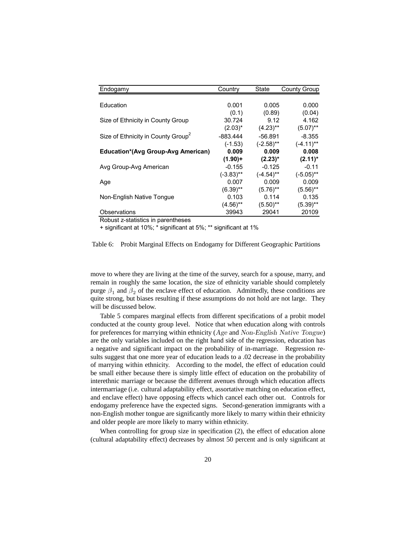| Endogamy                                       | Country      | State        | County Group |
|------------------------------------------------|--------------|--------------|--------------|
|                                                |              |              |              |
| Education                                      | 0.001        | 0.005        | 0.000        |
|                                                | (0.1)        | (0.89)       | (0.04)       |
| Size of Ethnicity in County Group              | 30.724       | 9.12         | 4.162        |
|                                                | $(2.03)^*$   | $(4.23)$ **  | $(5.07)$ **  |
| Size of Ethnicity in County Group <sup>2</sup> | -883.444     | -56.891      | $-8.355$     |
|                                                | $(-1.53)$    | $(-2.58)$ ** | $(-4.11)$ ** |
| <b>Education*(Avg Group-Avg American)</b>      | 0.009        | 0.009        | 0.008        |
|                                                | $(1.90) +$   | $(2.23)^*$   | $(2.11)^*$   |
| Avg Group-Avg American                         | $-0.155$     | $-0.125$     | $-0.11$      |
|                                                | $(-3.83)$ ** | $(-4.54)$ ** | $(-5.05)$ ** |
| Age                                            | 0.007        | 0.009        | 0.009        |
|                                                | $(6.39)$ **  | $(5.76)$ **  | $(5.56)$ **  |
| Non-English Native Tonque                      | 0.103        | 0.114        | 0.135        |
|                                                | $(4.56)$ **  | $(5.50)$ **  | $(5.39)$ **  |
| Observations                                   | 39943        | 29041        | 20109        |

Robust z-statistics in parentheses

+ significant at 10%; \* significant at 5%; \*\* significant at 1%

Table 6: Probit Marginal Effects on Endogamy for Different Geographic Partitions

move to where they are living at the time of the survey, search for a spouse, marry, and remain in roughly the same location, the size of ethnicity variable should completely purge  $\beta_1$  and  $\beta_2$  of the enclave effect of education. Admittedly, these conditions are quite strong, but biases resulting if these assumptions do not hold are not large. They will be discussed below.

Table 5 compares marginal effects from different specifications of a probit model conducted at the county group level. Notice that when education along with controls for preferences for marrying within ethnicity (Age and Non-English Native Tongue) are the only variables included on the right hand side of the regression, education has a negative and significant impact on the probability of in-marriage. Regression results suggest that one more year of education leads to a .02 decrease in the probability of marrying within ethnicity. According to the model, the effect of education could be small either because there is simply little effect of education on the probability of interethnic marriage or because the different avenues through which education affects intermarriage (i.e. cultural adaptability effect, assortative matching on education effect, and enclave effect) have opposing effects which cancel each other out. Controls for endogamy preference have the expected signs. Second-generation immigrants with a non-English mother tongue are significantly more likely to marry within their ethnicity and older people are more likely to marry within ethnicity.

When controlling for group size in specification  $(2)$ , the effect of education alone (cultural adaptability effect) decreases by almost 50 percent and is only significant at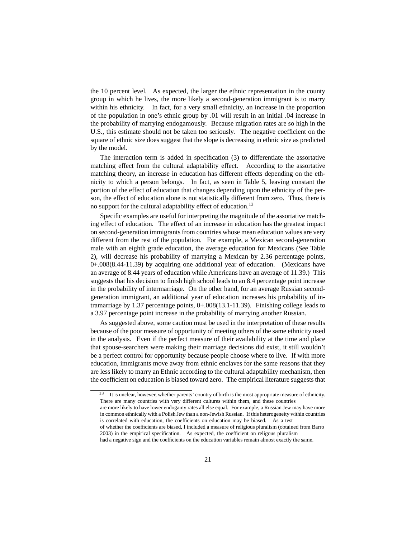the 10 percent level. As expected, the larger the ethnic representation in the county group in which he lives, the more likely a second-generation immigrant is to marry within his ethnicity. In fact, for a very small ethnicity, an increase in the proportion of the population in one's ethnic group by .01 will result in an initial .04 increase in the probability of marrying endogamously. Because migration rates are so high in the U.S., this estimate should not be taken too seriously. The negative coefficient on the square of ethnic size does suggest that the slope is decreasing in ethnic size as predicted by the model.

The interaction term is added in specification (3) to differentiate the assortative matching effect from the cultural adaptability effect. According to the assortative matching theory, an increase in education has different effects depending on the ethnicity to which a person belongs. In fact, as seen in Table 5, leaving constant the portion of the effect of education that changes depending upon the ethnicity of the person, the effect of education alone is not statistically different from zero. Thus, there is no support for the cultural adaptability effect of education.<sup>13</sup>

Specific examples are useful for interpreting the magnitude of the assortative matching effect of education. The effect of an increase in education has the greatest impact on second-generation immigrants from countries whose mean education values are very different from the rest of the population. For example, a Mexican second-generation male with an eighth grade education, the average education for Mexicans (See Table 2), will decrease his probability of marrying a Mexican by 2.36 percentage points, 0+.008(8.44-11.39) by acquiring one additional year of education. (Mexicans have an average of 8.44 years of education while Americans have an average of 11.39.) This suggests that his decision to finish high school leads to an 8.4 percentage point increase in the probability of intermarriage. On the other hand, for an average Russian secondgeneration immigrant, an additional year of education increases his probability of intramarriage by 1.37 percentage points, 0+.008(13.1-11.39). Finishing college leads to a 3.97 percentage point increase in the probability of marrying another Russian.

As suggested above, some caution must be used in the interpretation of these results because of the poor measure of opportunity of meeting others of the same ethnicity used in the analysis. Even if the perfect measure of their availability at the time and place that spouse-searchers were making their marriage decisions did exist, it still wouldn't be a perfect control for opportunity because people choose where to live. If with more education, immigrants move away from ethnic enclaves for the same reasons that they are less likely to marry an Ethnic according to the cultural adaptability mechanism, then the coefficient on education is biased toward zero. The empirical literature suggests that

It is unclear, however, whether parents' country of birth is the most appropriate measure of ethnicity. There are many countries with very different cultures within them, and these countries

are more likely to have lower endogamy rates all else equal. For example, a Russian Jew may have more in common ethnically with a Polish Jew than a non-Jewish Russian. If this heterogeneity within countries is correlated with education, the coefficients on education may be biased. As a test

of whether the coefficients are biased, I included a measure of religious pluralism (obtained from Barro 2003) in the empirical specification. As expected, the coefficient on religous pluralism

had a negative sign and the coefficients on the education variables remain almost exactly the same.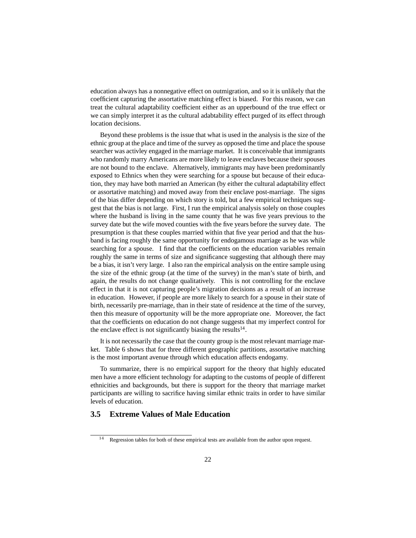education always has a nonnegative effect on outmigration, and so it is unlikely that the coefficient capturing the assortative matching effect is biased. For this reason, we can treat the cultural adaptability coefficient either as an upperbound of the true effect or we can simply interpret it as the cultural adabtability effect purged of its effect through location decisions.

Beyond these problems is the issue that what is used in the analysis is the size of the ethnic group at the place and time of the survey as opposed the time and place the spouse searcher was activley engaged in the marriage market. It is conceivable that immigrants who randomly marry Americans are more likely to leave enclaves because their spouses are not bound to the enclave. Alternatively, immigrants may have been predominantly exposed to Ethnics when they were searching for a spouse but because of their education, they may have both married an American (by either the cultural adaptability effect or assortative matching) and moved away from their enclave post-marriage. The signs of the bias differ depending on which story is told, but a few empirical techniques suggest that the bias is not large. First, I run the empirical analysis solely on those couples where the husband is living in the same county that he was five years previous to the survey date but the wife moved counties with the five years before the survey date. The presumption is that these couples married within that five year period and that the husband is facing roughly the same opportunity for endogamous marriage as he was while searching for a spouse. I find that the coefficients on the education variables remain roughly the same in terms of size and significance suggesting that although there may be a bias, it isn't very large. I also ran the empirical analysis on the entire sample using the size of the ethnic group (at the time of the survey) in the man's state of birth, and again, the results do not change qualitatively. This is not controlling for the enclave effect in that it is not capturing people's migration decisions as a result of an increase in education. However, if people are more likely to search for a spouse in their state of birth, necessarily pre-marriage, than in their state of residence at the time of the survey, then this measure of opportunity will be the more appropriate one. Moreover, the fact that the coefficients on education do not change suggests that my imperfect control for the enclave effect is not significantly biasing the results<sup>14</sup>.

It is not necessarily the case that the county group is the most relevant marriage market. Table 6 shows that for three different geographic partitions, assortative matching is the most important avenue through which education affects endogamy.

To summarize, there is no empirical support for the theory that highly educated men have a more efficient technology for adapting to the customs of people of different ethnicities and backgrounds, but there is support for the theory that marriage market participants are willing to sacrifice having similar ethnic traits in order to have similar levels of education.

### **3.5 Extreme Values of Male Education**

<sup>&</sup>lt;sup>14</sup> Regression tables for both of these empirical tests are available from the author upon request.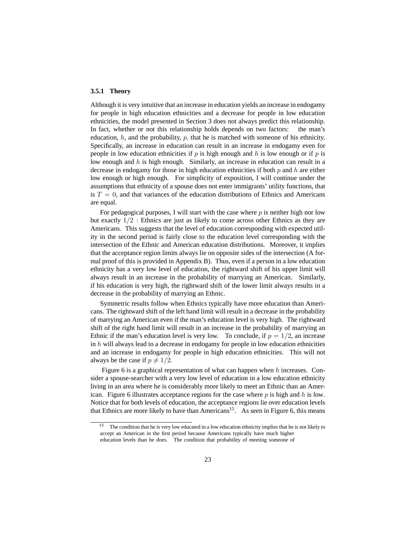#### **3.5.1 Theory**

Although it is very intuitive that an increase in education yields an increase in endogamy for people in high education ethnicities and a decrease for people in low education ethnicities, the model presented in Section 3 does not always predict this relationship. In fact, whether or not this relationship holds depends on two factors: the man's education,  $h$ , and the probability,  $p$ , that he is matched with someone of his ethnicity. Specifically, an increase in education can result in an increase in endogamy even for people in low education ethnicities if  $p$  is high enough and  $h$  is low enough or if  $p$  is low enough and  $h$  is high enough. Similarly, an increase in education can result in a decrease in endogamy for those in high education ethnicities if both  $p$  and  $h$  are either low enough or high enough. For simplicity of exposition, I will continue under the assumptions that ethnicity of a spouse does not enter immigrants' utility functions, that is  $T = 0$ , and that variances of the education distributions of Ethnics and Americans are equal.

For pedagogical purposes, I will start with the case where  $p$  is neither high nor low but exactly 1/2 : Ethnics are just as likely to come across other Ethnics as they are Americans. This suggests that the level of education corresponding with expected utility in the second period is fairly close to the education level corresponding with the intersection of the Ethnic and American education distributions. Moreover, it implies that the acceptance region limits always lie on opposite sides of the intersection (A formal proof of this is provided in Appendix B). Thus, even if a person in a low education ethnicity has a very low level of education, the rightward shift of his upper limit will always result in an increase in the probability of marrying an American. Similarly, if his education is very high, the rightward shift of the lower limit always results in a decrease in the probability of marrying an Ethnic.

Symmetric results follow when Ethnics typically have more education than Americans. The rightward shift of the left hand limit will result in a decrease in the probability of marrying an American even if the man's education level is very high. The rightward shift of the right hand limit will result in an increase in the probability of marrying an Ethnic if the man's education level is very low. To conclude, if  $p = 1/2$ , an increase in  $h$  will always lead to a decrease in endogamy for people in low education ethnicities and an increase in endogamy for people in high education ethnicities. This will not always be the case if  $p \neq 1/2$ .

Figure 6 is a graphical representation of what can happen when  $h$  increases. Consider a spouse-searcher with a very low level of education in a low education ethnicity living in an area where he is considerably more likely to meet an Ethnic than an American. Figure 6 illustrates acceptance regions for the case where  $p$  is high and  $h$  is low. Notice that for both levels of education, the acceptance regions lie over education levels that Ethnics are more likely to have than  $American<sup>15</sup>$ . As seen in Figure 6, this means

The condition that he is very low educated in a low education ethnicity implies that he is not likely to accept an American in the first period because Americans typically have much higher

education levels than he does. The condition that probability of meeting someone of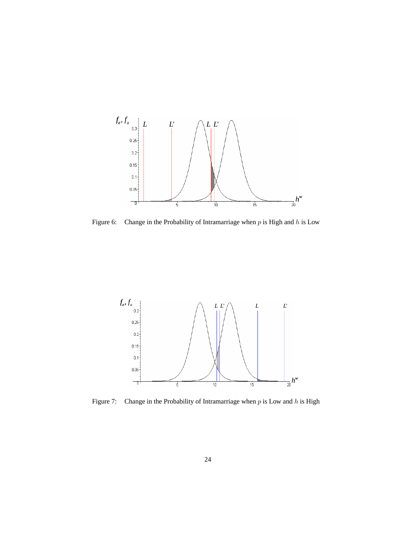

Figure 6: Change in the Probability of Intramarriage when  $p$  is High and  $h$  is Low



Figure 7: Change in the Probability of Intramarriage when  $p$  is Low and  $h$  is High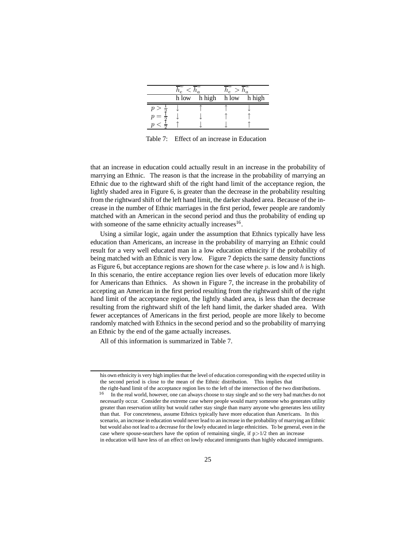| $\iota_e$ |        |       | $u_a$  |  |  |
|-----------|--------|-------|--------|--|--|
| h low     | h high | h low | h high |  |  |
|           |        |       |        |  |  |
|           |        |       |        |  |  |
|           |        |       |        |  |  |

Table 7: Effect of an increase in Education

that an increase in education could actually result in an increase in the probability of marrying an Ethnic. The reason is that the increase in the probability of marrying an Ethnic due to the rightward shift of the right hand limit of the acceptance region, the lightly shaded area in Figure 6, is greater than the decrease in the probability resulting from the rightward shift of the left hand limit, the darker shaded area. Because of the increase in the number of Ethnic marriages in the first period, fewer people are randomly matched with an American in the second period and thus the probability of ending up with someone of the same ethnicity actually increases<sup>16</sup>.

Using a similar logic, again under the assumption that Ethnics typically have less education than Americans, an increase in the probability of marrying an Ethnic could result for a very well educated man in a low education ethnicity if the probability of being matched with an Ethnic is very low. Figure 7 depicts the same density functions as Figure 6, but acceptance regions are shown for the case where  $p$  is low and h is high. In this scenario, the entire acceptance region lies over levels of education more likely for Americans than Ethnics. As shown in Figure 7, the increase in the probability of accepting an American in the first period resulting from the rightward shift of the right hand limit of the acceptance region, the lightly shaded area, is less than the decrease resulting from the rightward shift of the left hand limit, the darker shaded area. With fewer acceptances of Americans in the first period, people are more likely to become randomly matched with Ethnics in the second period and so the probability of marrying an Ethnic by the end of the game actually increases.

All of this information is summarized in Table 7.

his own ethnicity is very high implies that the level of education corresponding with the expected utility in the second period is close to the mean of the Ethnic distribution. This implies that

the right-hand limit of the acceptance region lies to the left of the intersection of the two distributions. <sup>16</sup> In the real world, however, one can always choose to stay single and so the very bad matches do not necessarily occur. Consider the extreme case where people would marry someone who generates utility greater than reservation utility but would rather stay single than marry anyone who generates less utility than that. For concreteness, assume Ethnics typically have more education than Americans. In this scenario, an increase in education would never lead to an increase in the probability of marrying an Ethnic but would also not lead to a decrease for the lowly educated in large ethnicities. To be general, even in the case where spouse-searchers have the option of remaining single, if  $p > 1/2$  then an increase in education will have less of an effect on lowly educated immigrants than highly educated immigrants.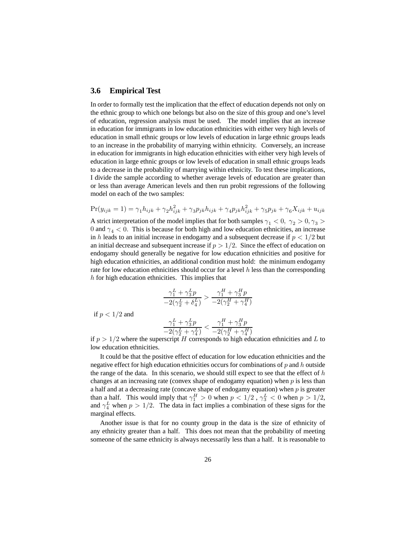#### **3.6 Empirical Test**

In order to formally test the implication that the effect of education depends not only on the ethnic group to which one belongs but also on the size of this group and one's level of education, regression analysis must be used. The model implies that an increase in education for immigrants in low education ethnicities with either very high levels of education in small ethnic groups or low levels of education in large ethnic groups leads to an increase in the probability of marrying within ethnicity. Conversely, an increase in education for immigrants in high education ethnicities with either very high levels of education in large ethnic groups or low levels of education in small ethnic groups leads to a decrease in the probability of marrying within ethnicity. To test these implications, I divide the sample according to whether average levels of education are greater than or less than average American levels and then run probit regressions of the following model on each of the two samples:

$$
Pr(y_{ijk} = 1) = \gamma_1 h_{ijk} + \gamma_2 h_{ijk}^2 + \gamma_3 p_{jk} h_{ijk} + \gamma_4 p_{jk} h_{ijk}^2 + \gamma_5 p_{jk} + \gamma_6 X_{ijk} + u_{ijk}
$$

A strict interpretation of the model implies that for both samples  $\gamma_1 < 0$ ,  $\gamma_2 > 0$ ,  $\gamma_3 >$ 0 and  $\gamma_4$  < 0. This is because for both high and low education ethnicities, an increase in h leads to an initial increase in endogamy and a subsequent decrease if  $p < 1/2$  but an initial decrease and subsequent increase if  $p > 1/2$ . Since the effect of education on endogamy should generally be negative for low education ethnicities and positive for high education ethnicities, an additional condition must hold: the minimum endogamy rate for low education ethnicities should occur for a level  $h$  less than the corresponding h for high education ethnicities. This implies that

$$
\frac{\gamma_1^L+\gamma_3^Tp}{-2(\gamma_2^L+\delta_4^L)}>\frac{\gamma_1^H+\gamma_3^Hp}{-2(\gamma_2^H+\gamma_4^H)}
$$

if  $p < 1/2$  and

$$
\frac{\gamma_1^L+\gamma_3^L p}{-2\left(\gamma_2^L+\gamma_4^L\right)}<\frac{\gamma_1^H+\gamma_3^H p}{-2\left(\gamma_2^H+\gamma_4^H\right)}
$$

if  $p > 1/2$  where the superscript H corresponds to high education ethnicities and L to low education ethnicities.

It could be that the positive effect of education for low education ethnicities and the negative effect for high education ethnicities occurs for combinations of  $p$  and  $h$  outside the range of the data. In this scenario, we should still expect to see that the effect of  $h$ changes at an increasing rate (convex shape of endogamy equation) when  $p$  is less than a half and at a decreasing rate (concave shape of endogamy equation) when  $p$  is greater than a half. This would imply that  $\gamma_1^H > 0$  when  $p < 1/2$ ,  $\gamma_3^L < 0$  when  $p > 1/2$ , and  $\gamma_4^L$  when  $p > 1/2$ . The data in fact implies a combination of these signs for the marginal effects.

Another issue is that for no county group in the data is the size of ethnicity of any ethnicity greater than a half. This does not mean that the probability of meeting someone of the same ethnicity is always necessarily less than a half. It is reasonable to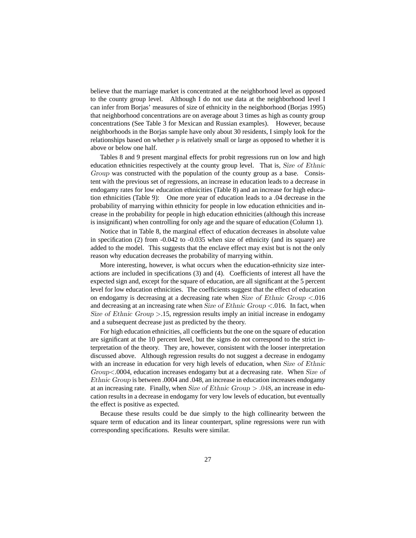believe that the marriage market is concentrated at the neighborhood level as opposed to the county group level. Although I do not use data at the neighborhood level I can infer from Borjas' measures of size of ethnicity in the neighborhood (Borjas 1995) that neighborhood concentrations are on average about 3 times as high as county group concentrations (See Table 3 for Mexican and Russian examples). However, because neighborhoods in the Borjas sample have only about 30 residents, I simply look for the relationships based on whether  $p$  is relatively small or large as opposed to whether it is above or below one half.

Tables 8 and 9 present marginal effects for probit regressions run on low and high education ethnicities respectively at the county group level. That is, Size of Ethnic Group was constructed with the population of the county group as a base. Consistent with the previous set of regressions, an increase in education leads to a decrease in endogamy rates for low education ethnicities (Table 8) and an increase for high education ethnicities (Table 9): One more year of education leads to a .04 decrease in the probability of marrying within ethnicity for people in low education ethnicities and increase in the probability for people in high education ethnicities (although this increase is insignificant) when controlling for only age and the square of education (Column 1).

Notice that in Table 8, the marginal effect of education decreases in absolute value in specification  $(2)$  from  $-0.042$  to  $-0.035$  when size of ethnicity (and its square) are added to the model. This suggests that the enclave effect may exist but is not the only reason why education decreases the probability of marrying within.

More interesting, however, is what occurs when the education-ethnicity size interactions are included in specifications (3) and (4). Coefficients of interest all have the expected sign and, except for the square of education, are all significant at the 5 percent level for low education ethnicities. The coefficients suggest that the effect of education on endogamy is decreasing at a decreasing rate when Size of Ethnic Group <.016 and decreasing at an increasing rate when Size of Ethnic Group  $\lt$  0.016. In fact, when Size of Ethnic Group  $>15$ , regression results imply an initial increase in endogamy and a subsequent decrease just as predicted by the theory.

For high education ethnicities, all coefficients but the one on the square of education are significant at the 10 percent level, but the signs do not correspond to the strict interpretation of the theory. They are, however, consistent with the looser interpretation discussed above. Although regression results do not suggest a decrease in endogamy with an increase in education for very high levels of education, when Size of Ethnic Group<.0004, education increases endogamy but at a decreasing rate. When Size of Ethnic Group is between .0004 and .048, an increase in education increases endogamy at an increasing rate. Finally, when Size of Ethnic Group  $> .048$ , an increase in education results in a decrease in endogamy for very low levels of education, but eventually the effect is positive as expected.

Because these results could be due simply to the high collinearity between the square term of education and its linear counterpart, spline regressions were run with corresponding specifications. Results were similar.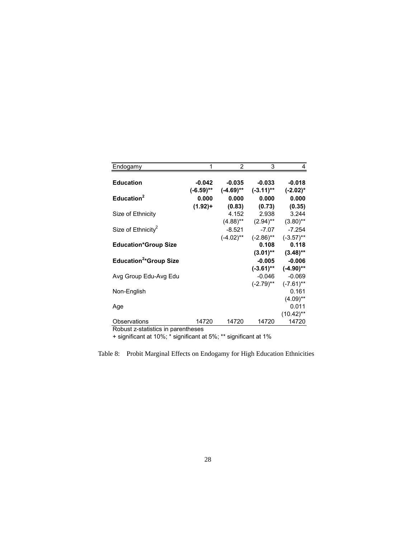| Endogamy                           |                          | 2                        | 3                        |                         |
|------------------------------------|--------------------------|--------------------------|--------------------------|-------------------------|
| <b>Education</b>                   | $-0.042$<br>$(-6.59)$ ** | $-0.035$<br>$(-4.69)$ ** | $-0.033$<br>$(-3.11)$ ** | $-0.018$<br>$(-2.02)^*$ |
| Education $2$                      | 0.000                    | 0.000                    | 0.000                    | 0.000                   |
|                                    | $(1.92) +$               | (0.83)                   | (0.73)                   | (0.35)                  |
| Size of Ethnicity                  |                          | 4.152                    | 2.938                    | 3.244                   |
|                                    |                          | $(4.88)$ **              | $(2.94)$ **              | $(3.80)$ **             |
| Size of Ethnicity <sup>2</sup>     |                          | $-8.521$                 | $-7.07$                  | $-7.254$                |
|                                    |                          | $(-4.02)$ **             | $(-2.86)$ **             | $(-3.57)$ **            |
| <b>Education*Group Size</b>        |                          |                          | 0.108                    | 0.118                   |
|                                    |                          |                          | $(3.01)$ **              | $(3.48)$ **             |
| Education <sup>2*</sup> Group Size |                          |                          | $-0.005$                 | $-0.006$                |
|                                    |                          |                          | $(-3.61)$ **             | $(-4.90)$ **            |
| Avg Group Edu-Avg Edu              |                          |                          | $-0.046$                 | $-0.069$                |
|                                    |                          |                          | $(-2.79)$ **             | $(-7.61)$ **            |
| Non-English                        |                          |                          |                          | 0.161                   |
|                                    |                          |                          |                          | $(4.09)$ **             |
| Age                                |                          |                          |                          | 0.011                   |
|                                    |                          |                          |                          | $(10.42)$ <sup>**</sup> |
| Observations                       | 14720                    | 14720                    | 14720                    | 14720                   |

Robust z-statistics in parentheses

+ significant at 10%; \* significant at 5%; \*\* significant at 1%

Table 8: Probit Marginal Effects on Endogamy for High Education Ethnicities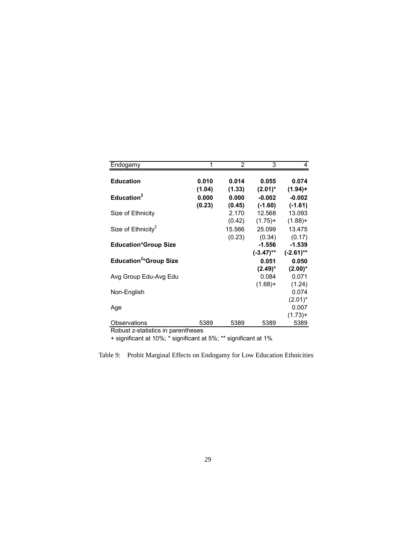| Endogamy                           |        | 2      | 3            |              |
|------------------------------------|--------|--------|--------------|--------------|
| <b>Education</b>                   | 0.010  | 0.014  | 0.055        | 0.074        |
|                                    | (1.04) | (1.33) | $(2.01)^*$   | $(1.94) +$   |
| Education <sup>2</sup>             | 0.000  | 0.000  | $-0.002$     | $-0.002$     |
|                                    | (0.23) | (0.45) | $(-1.60)$    | $(-1.61)$    |
| Size of Ethnicity                  |        | 2.170  | 12.568       | 13.093       |
|                                    |        | (0.42) | $(1.75)+$    | $(1.88) +$   |
| Size of Ethnicity <sup>2</sup>     |        | 15.566 | 25.099       | 13.475       |
|                                    |        | (0.23) | (0.34)       | (0.17)       |
| <b>Education*Group Size</b>        |        |        | $-1.556$     | $-1.539$     |
|                                    |        |        | $(-3.47)$ ** | $(-2.61)$ ** |
| Education <sup>2*</sup> Group Size |        |        | 0.051        | 0.050        |
|                                    |        |        | $(2.49)^*$   | $(2.00)^*$   |
| Avg Group Edu-Avg Edu              |        |        | 0.084        | 0.071        |
|                                    |        |        | $(1.68) +$   | (1.24)       |
| Non-English                        |        |        |              | 0.074        |
|                                    |        |        |              | $(2.01)^*$   |
| Age                                |        |        |              | 0.007        |
|                                    |        |        |              | $(1.73) +$   |
| Observations                       | 5389   | 5389   | 5389         | 5389         |

Robust z-statistics in parentheses

+ significant at 10%; \* significant at 5%; \*\* significant at 1%

Table 9: Probit Marginal Effects on Endogamy for Low Education Ethnicities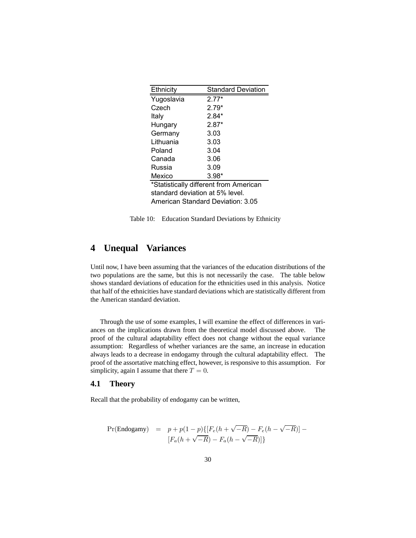| Ethnicity                              | <b>Standard Deviation</b> |  |  |
|----------------------------------------|---------------------------|--|--|
| Yugoslavia                             | $2.77*$                   |  |  |
| Czech                                  | $2.79*$                   |  |  |
| Italy                                  | $2.84*$                   |  |  |
| Hungary                                | $2.87*$                   |  |  |
| Germany                                | 3.03                      |  |  |
| Lithuania                              | 3.03                      |  |  |
| Poland                                 | 3.04                      |  |  |
| Canada                                 | 3.06                      |  |  |
| Russia                                 | 3.09                      |  |  |
| Mexico                                 | $3.98*$                   |  |  |
| *Statistically different from American |                           |  |  |
| standard deviation at 5% level.        |                           |  |  |
| American Standard Deviation: 3.05      |                           |  |  |

Table 10: Education Standard Deviations by Ethnicity

# **4 Unequal Variances**

Until now, I have been assuming that the variances of the education distributions of the two populations are the same, but this is not necessarily the case. The table below shows standard deviations of education for the ethnicities used in this analysis. Notice that half of the ethnicities have standard deviations which are statistically different from the American standard deviation.

Through the use of some examples, I will examine the effect of differences in variances on the implications drawn from the theoretical model discussed above. The proof of the cultural adaptability effect does not change without the equal variance assumption: Regardless of whether variances are the same, an increase in education always leads to a decrease in endogamy through the cultural adaptability effect. The proof of the assortative matching effect, however, is responsive to this assumption. For simplicity, again I assume that there  $T = 0$ .

### **4.1 Theory**

Recall that the probability of endogamy can be written,

$$
\begin{array}{lcl} \Pr(\text{Endogamy}) & = & p + p(1-p) \{[F_e(h + \sqrt{-R}) - F_e(h - \sqrt{-R})] - \\ & & [F_a(h + \sqrt{-R}) - F_a(h - \sqrt{-R})]\} \end{array}
$$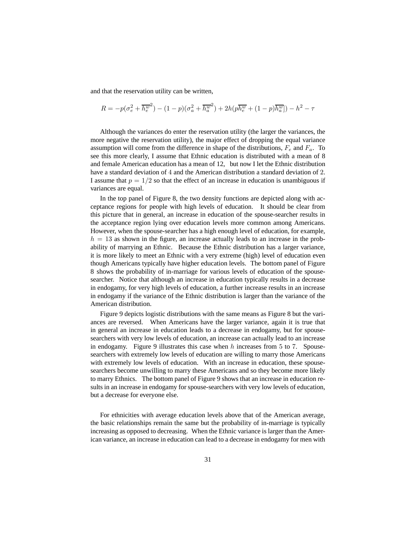and that the reservation utility can be written,

$$
R=-p(\sigma_{e}^2+\overline{h_{e}^w}^2)-(1-p)(\sigma_{a}^2+\overline{h_{a}^w}^2)+2h(p\overline{h_{e}^w}+(1-p)\overline{h_{a}^w}])-h^2-\tau
$$

Although the variances do enter the reservation utility (the larger the variances, the more negative the reservation utility), the major effect of dropping the equal variance assumption will come from the difference in shape of the distributions,  $F_e$  and  $F_a$ . To see this more clearly, I assume that Ethnic education is distributed with a mean of 8 and female American education has a mean of 12, but now I let the Ethnic distribution have a standard deviation of 4 and the American distribution a standard deviation of 2. I assume that  $p = 1/2$  so that the effect of an increase in education is unambiguous if variances are equal.

In the top panel of Figure 8, the two density functions are depicted along with acceptance regions for people with high levels of education. It should be clear from this picture that in general, an increase in education of the spouse-searcher results in the acceptance region lying over education levels more common among Americans. However, when the spouse-searcher has a high enough level of education, for example,  $h = 13$  as shown in the figure, an increase actually leads to an increase in the probability of marrying an Ethnic. Because the Ethnic distribution has a larger variance, it is more likely to meet an Ethnic with a very extreme (high) level of education even though Americans typically have higher education levels. The bottom panel of Figure 8 shows the probability of in-marriage for various levels of education of the spousesearcher. Notice that although an increase in education typically results in a decrease in endogamy, for very high levels of education, a further increase results in an increase in endogamy if the variance of the Ethnic distribution is larger than the variance of the American distribution.

Figure 9 depicts logistic distributions with the same means as Figure 8 but the variances are reversed. When Americans have the larger variance, again it is true that in general an increase in education leads to a decrease in endogamy, but for spousesearchers with very low levels of education, an increase can actually lead to an increase in endogamy. Figure 9 illustrates this case when  $h$  increases from 5 to 7. Spousesearchers with extremely low levels of education are willing to marry those Americans with extremely low levels of education. With an increase in education, these spousesearchers become unwilling to marry these Americans and so they become more likely to marry Ethnics. The bottom panel of Figure 9 shows that an increase in education results in an increase in endogamy for spouse-searchers with very low levels of education, but a decrease for everyone else.

For ethnicities with average education levels above that of the American average, the basic relationships remain the same but the probability of in-marriage is typically increasing as opposed to decreasing. When the Ethnic variance is larger than the American variance, an increase in education can lead to a decrease in endogamy for men with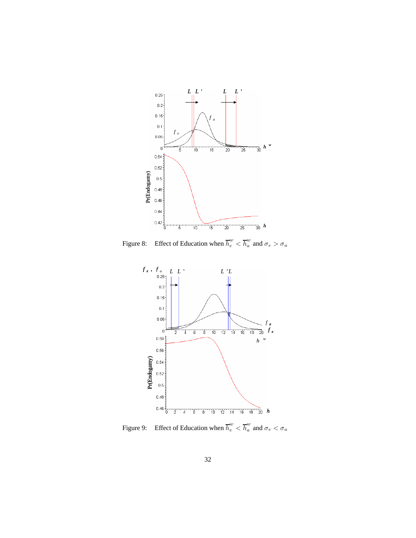

Figure 8: Effect of Education when  $\overline{h}_e^w < \overline{h}_a^w$  and  $\sigma_e > \sigma_a$ 



Figure 9: Effect of Education when  $\overline{h}_e^w < \overline{h}_a^w$  and  $\sigma_e < \sigma_a$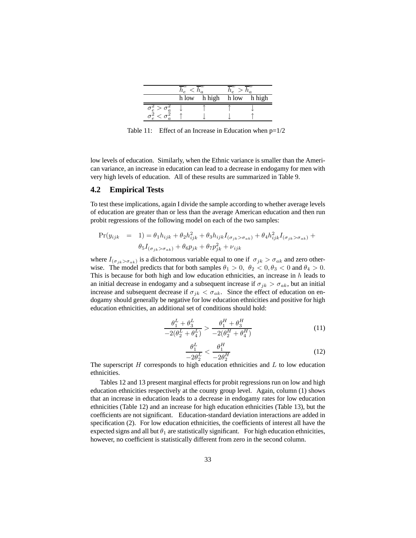| h low | h high h low | h high |
|-------|--------------|--------|
|       |              |        |
|       |              |        |

Table 11: Effect of an Increase in Education when  $p=1/2$ 

low levels of education. Similarly, when the Ethnic variance is smaller than the American variance, an increase in education can lead to a decrease in endogamy for men with very high levels of education. All of these results are summarized in Table 9.

### **4.2 Empirical Tests**

To test these implications, again I divide the sample according to whether average levels of education are greater than or less than the average American education and then run probit regressions of the following model on each of the two samples:

$$
\Pr(y_{ijk} = 1) = \theta_1 h_{ijk} + \theta_2 h_{ijk}^2 + \theta_3 h_{ijk} I_{(\sigma_{jk} > \sigma_{ak})} + \theta_4 h_{ijk}^2 I_{(\sigma_{jk} > \sigma_{ak})} +
$$
  

$$
\theta_5 I_{(\sigma_{jk} > \sigma_{ak})} + \theta_6 p_{jk} + \theta_7 p_{jk}^2 + \nu_{ijk}
$$

where  $I_{(\sigma_{jk} > \sigma_{ak})}$  is a dichotomous variable equal to one if  $\sigma_{jk} > \sigma_{ak}$  and zero otherwise. The model predicts that for both samples  $\theta_1 > 0$ ,  $\theta_2 < 0$ ,  $\theta_3 < 0$  and  $\theta_4 > 0$ . This is because for both high and low education ethnicities, an increase in  $h$  leads to an initial decrease in endogamy and a subsequent increase if  $\sigma_{ik} > \sigma_{ak}$ , but an initial increase and subsequent decrease if  $\sigma_{ik} < \sigma_{ak}$ . Since the effect of education on endogamy should generally be negative for low education ethnicities and positive for high education ethnicities, an additional set of conditions should hold:

$$
\frac{\theta_1^L + \theta_3^L}{-2(\theta_2^L + \theta_4^L)} > \frac{\theta_1^H + \theta_3^H}{-2(\theta_2^H + \theta_4^H)}\tag{11}
$$

$$
\frac{\theta_1^L}{-2\theta_2^L} < \frac{\theta_1^H}{-2\theta_2^H} \tag{12}
$$

 $-2\theta_2^L$   $-2\theta_2^H$ <br>The superscript H corresponds to high education ethnicities and L to low education ethnicities.

Tables 12 and 13 present marginal effects for probit regressions run on low and high education ethnicities respectively at the county group level. Again, column (1) shows that an increase in education leads to a decrease in endogamy rates for low education ethnicities (Table 12) and an increase for high education ethnicities (Table 13), but the coefficients are not significant. Education-standard deviation interactions are added in specification (2). For low education ethnicities, the coefficients of interest all have the expected signs and all but  $\theta_1$  are statistically significant. For high education ethnicities, however, no coefficient is statistically different from zero in the second column.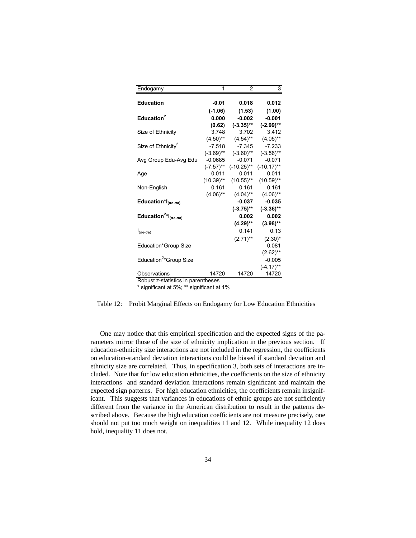| Endogamy                                            | 1            | 2             | 3             |
|-----------------------------------------------------|--------------|---------------|---------------|
| <b>Education</b>                                    |              | 0.018         |               |
|                                                     | $-0.01$      |               | 0.012         |
|                                                     | $(-1.06)$    | (1.53)        | (1.00)        |
| Education <sup>2</sup>                              | 0.000        | $-0.002$      | $-0.001$      |
|                                                     | (0.62)       | $(-3.35)$ **  | $(-2.99)$ **  |
| Size of Ethnicity                                   | 3.748        | 3.702         | 3.412         |
|                                                     | $(4.50)$ **  | $(4.54)$ **   | $(4.05)$ **   |
| Size of Ethnicity <sup>2</sup>                      | $-7.518$     | $-7.345$      | $-7.233$      |
|                                                     | $(-3.69)$ ** | $(-3.60)$ **  | $(-3.56)$ **  |
| Avg Group Edu-Avg Edu                               | $-0.0685$    | $-0.071$      | $-0.071$      |
|                                                     | $(-7.57)$ ** | $(-10.25)$ ** | $(-10.17)$ ** |
| Age                                                 | 0.011        | 0.011         | 0.011         |
|                                                     | $(10.39)$ ** | $(10.55)$ **  | $(10.59)$ **  |
| Non-English                                         | 0.161        | 0.161         | 0.161         |
|                                                     | $(4.06)$ **  | $(4.04)$ **   | $(4.06)$ **   |
| Education* $I_{(\sigma e-\sigma a)}$                |              | $-0.037$      | $-0.035$      |
|                                                     |              | $(-3.75)$ **  | $(-3.36)$ **  |
| Education <sup>2*</sup> $I_{(\sigma e - \sigma a)}$ |              | 0.002         | 0.002         |
|                                                     |              | $(4.29)$ **   | $(3.98)$ **   |
| $I_{(\sigma e - \sigma a)}$                         |              | 0.141         | 0.13          |
|                                                     |              | $(2.71)$ **   | $(2.30)^{*}$  |
| Education*Group Size                                |              |               | 0.081         |
|                                                     |              |               | $(2.62)$ **   |
| Education <sup>2</sup> *Group Size                  |              |               | $-0.005$      |
|                                                     |              |               |               |
|                                                     |              |               | $(-4.17)$ **  |
| Observations<br>Robust z-statistics in parentheses  | 14720        | 14720         | 14720         |

\* significant at 5%; \*\* significant at 1%

Table 12: Probit Marginal Effects on Endogamy for Low Education Ethnicities

One may notice that this empirical specification and the expected signs of the parameters mirror those of the size of ethnicity implication in the previous section. If education-ethnicity size interactions are not included in the regression, the coefficients on education-standard deviation interactions could be biased if standard deviation and ethnicity size are correlated. Thus, in specification 3, both sets of interactions are included. Note that for low education ethnicities, the coefficients on the size of ethnicity interactions and standard deviation interactions remain significant and maintain the expected sign patterns. For high education ethnicities, the coefficients remain insignificant. This suggests that variances in educations of ethnic groups are not sufficiently different from the variance in the American distribution to result in the patterns described above. Because the high education coefficients are not measure precisely, one should not put too much weight on inequalities 11 and 12. While inequality 12 does hold, inequality 11 does not.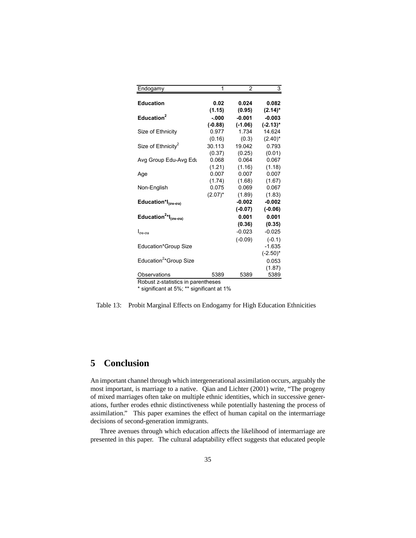| Endogamy                                            | 1                   | 2                     | 3                       |
|-----------------------------------------------------|---------------------|-----------------------|-------------------------|
| <b>Education</b>                                    | 0.02                | 0.024                 | 0.082                   |
| Education <sup>2</sup>                              | (1.15)              | (0.95)                | $(2.14)^*$              |
|                                                     | $-000$<br>$(-0.88)$ | $-0.001$<br>$(-1.06)$ | $-0.003$<br>$(-2.13)^*$ |
| Size of Ethnicity                                   | 0.977               | 1.734                 | 14.624                  |
|                                                     | (0.16)              | (0.3)                 | $(2.40)^*$              |
| Size of Ethnicity <sup>2</sup>                      | 30.113              | 19.042                | 0.793                   |
|                                                     | (0.37)              | (0.25)                | (0.01)                  |
| Avg Group Edu-Avg Edu                               | 0.068               | 0.064                 | 0.067                   |
|                                                     | (1.21)              | (1.16)                | (1.18)                  |
| Age                                                 | 0.007               | 0.007                 | 0.007                   |
|                                                     | (1.74)              | (1.68)                | (1.67)                  |
| Non-English                                         | 0.075               | 0.069                 | 0.067                   |
|                                                     | $(2.07)^*$          | (1.89)                | (1.83)                  |
| Education*I $_{(\sigma e - \sigma a)}$              |                     | $-0.002$              | $-0.002$                |
|                                                     |                     | $(-0.07)$             | $(-0.06)$               |
| Education <sup>2*</sup> $I_{(\sigma e - \sigma a)}$ |                     | 0.001                 | 0.001                   |
|                                                     |                     | (0.36)                | (0.35)                  |
| $I_{\sigma e-\sigma a}$                             |                     | $-0.023$              | $-0.025$                |
|                                                     |                     | $(-0.09)$             | $(-0.1)$                |
| Education*Group Size                                |                     |                       | $-1.635$                |
|                                                     |                     |                       | $(-2.50)^*$             |
| Education <sup>2</sup> *Group Size                  |                     |                       | 0.053                   |
|                                                     |                     |                       | (1.87)                  |
| Observations                                        | 5389                | 5389                  | 5389                    |
| Robust z-statistics in parentheses                  |                     |                       |                         |

\* significant at 5%; \*\* significant at 1%

Table 13: Probit Marginal Effects on Endogamy for High Education Ethnicities

# **5 Conclusion**

An important channel through which intergenerational assimilation occurs, arguably the most important, is marriage to a native. Qian and Lichter (2001) write, "The progeny of mixed marriages often take on multiple ethnic identities, which in successive generations, further erodes ethnic distinctiveness while potentially hastening the process of assimilation." This paper examines the effect of human capital on the intermarriage decisions of second-generation immigrants.

Three avenues through which education affects the likelihood of intermarriage are presented in this paper. The cultural adaptability effect suggests that educated people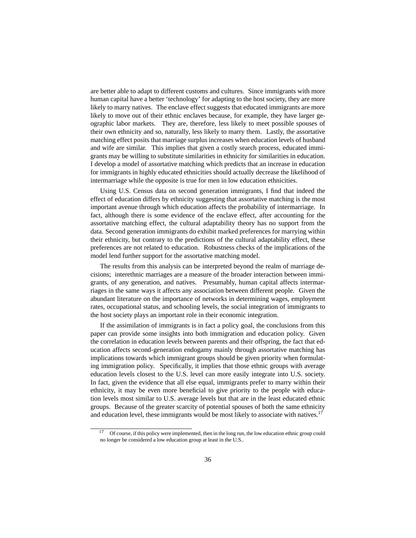are better able to adapt to different customs and cultures. Since immigrants with more human capital have a better 'technology' for adapting to the host society, they are more likely to marry natives. The enclave effect suggests that educated immigrants are more likely to move out of their ethnic enclaves because, for example, they have larger geographic labor markets. They are, therefore, less likely to meet possible spouses of their own ethnicity and so, naturally, less likely to marry them. Lastly, the assortative matching effect posits that marriage surplus increases when education levels of husband and wife are similar. This implies that given a costly search process, educated immigrants may be willing to substitute similarities in ethnicity for similarities in education. I develop a model of assortative matching which predicts that an increase in education for immigrants in highly educated ethnicities should actually decrease the likelihood of intermarriage while the opposite is true for men in low education ethnicities.

Using U.S. Census data on second generation immigrants, I find that indeed the effect of education differs by ethnicity suggesting that assortative matching is the most important avenue through which education affects the probability of intermarriage. In fact, although there is some evidence of the enclave effect, after accounting for the assortative matching effect, the cultural adaptability theory has no support from the data. Second generation immigrants do exhibit marked preferences for marrying within their ethnicity, but contrary to the predictions of the cultural adaptability effect, these preferences are not related to education. Robustness checks of the implications of the model lend further support for the assortative matching model.

The results from this analysis can be interpreted beyond the realm of marriage decisions; interethnic marriages are a measure of the broader interaction between immigrants, of any generation, and natives. Presumably, human capital affects intermarriages in the same ways it affects any association between different people. Given the abundant literature on the importance of networks in determining wages, employment rates, occupational status, and schooling levels, the social integration of immigrants to the host society plays an important role in their economic integration.

If the assimilation of immigrants is in fact a policy goal, the conclusions from this paper can provide some insights into both immigration and education policy. Given the correlation in education levels between parents and their offspring, the fact that education affects second-generation endogamy mainly through assortative matching has implications towards which immigrant groups should be given priority when formulating immigration policy. Specifically, it implies that those ethnic groups with average education levels closest to the U.S. level can more easily integrate into U.S. society. In fact, given the evidence that all else equal, immigrants prefer to marry within their ethnicity, it may be even more beneficial to give priority to the people with education levels most similar to U.S. average levels but that are in the least educated ethnic groups. Because of the greater scarcity of potential spouses of both the same ethnicity and education level, these immigrants would be most likely to associate with natives.<sup>17</sup>

Of course, if this policy were implemented, then in the long run, the low education ethnic group could no longer be considered a low education group at least in the U.S..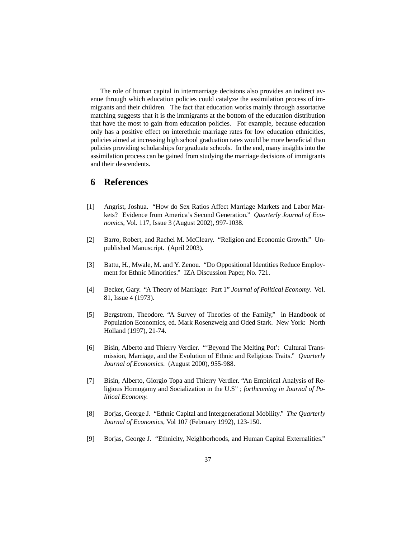The role of human capital in intermarriage decisions also provides an indirect avenue through which education policies could catalyze the assimilation process of immigrants and their children. The fact that education works mainly through assortative matching suggests that it is the immigrants at the bottom of the education distribution that have the most to gain from education policies. For example, because education only has a positive effect on interethnic marriage rates for low education ethnicities, policies aimed at increasing high school graduation rates would be more beneficial than policies providing scholarships for graduate schools. In the end, many insights into the assimilation process can be gained from studying the marriage decisions of immigrants and their descendents.

### **6 References**

- [1] Angrist, Joshua. "How do Sex Ratios Affect Marriage Markets and Labor Markets? Evidence from America's Second Generation." *Quarterly Journal of Economics*, Vol. 117, Issue 3 (August 2002), 997-1038.
- [2] Barro, Robert, and Rachel M. McCleary. "Religion and Economic Growth." Unpublished Manuscript. (April 2003).
- [3] Battu, H., Mwale, M. and Y. Zenou. "Do Oppositional Identities Reduce Employment for Ethnic Minorities." IZA Discussion Paper, No. 721.
- [4] Becker, Gary. "A Theory of Marriage: Part 1" *Journal of Political Economy.* Vol. 81, Issue 4 (1973).
- [5] Bergstrom, Theodore. "A Survey of Theories of the Family," in Handbook of Population Economics, ed. Mark Rosenzweig and Oded Stark. New York: North Holland (1997), 21-74.
- [6] Bisin, Alberto and Thierry Verdier. "'Beyond The Melting Pot': Cultural Transmission, Marriage, and the Evolution of Ethnic and Religious Traits." *Quarterly Journal of Economics*. (August 2000), 955-988.
- [7] Bisin, Alberto, Giorgio Topa and Thierry Verdier. "An Empirical Analysis of Religious Homogamy and Socialization in the U.S" ; *forthcoming in Journal of Political Economy.*
- [8] Borjas, George J. "Ethnic Capital and Intergenerational Mobility." *The Quarterly Journal of Economics*, Vol 107 (February 1992), 123-150.
- [9] Borjas, George J. "Ethnicity, Neighborhoods, and Human Capital Externalities."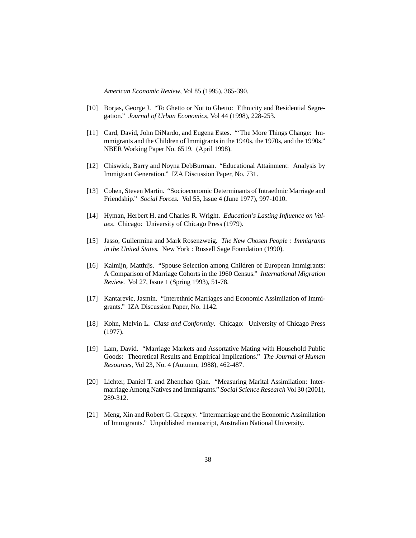*American Economic Review*, Vol 85 (1995), 365-390.

- [10] Borjas, George J. "To Ghetto or Not to Ghetto: Ethnicity and Residential Segregation." *Journal of Urban Economics*, Vol 44 (1998), 228-253.
- [11] Card, David, John DiNardo, and Eugena Estes. "'The More Things Change: Immmigrants and the Children of Immigrants in the 1940s, the 1970s, and the 1990s." NBER Working Paper No. 6519. (April 1998).
- [12] Chiswick, Barry and Noyna DebBurman. "Educational Attainment: Analysis by Immigrant Generation." IZA Discussion Paper, No. 731.
- [13] Cohen, Steven Martin. "Socioeconomic Determinants of Intraethnic Marriage and Friendship." *Social Forces.* Vol 55, Issue 4 (June 1977), 997-1010.
- [14] Hyman, Herbert H. and Charles R. Wright. *Education's Lasting Influence on Values*. Chicago: University of Chicago Press (1979).
- [15] Jasso, Guilermina and Mark Rosenzweig. *The New Chosen People : Immigrants in the United States.* New York : Russell Sage Foundation (1990).
- [16] Kalmijn, Matthijs. "Spouse Selection among Children of European Immigrants: A Comparison of Marriage Cohorts in the 1960 Census." *International Migration Review*. Vol 27, Issue 1 (Spring 1993), 51-78.
- [17] Kantarevic, Jasmin. "Interethnic Marriages and Economic Assimilation of Immigrants." IZA Discussion Paper, No. 1142.
- [18] Kohn, Melvin L. *Class and Conformity*. Chicago: University of Chicago Press (1977).
- [19] Lam, David. "Marriage Markets and Assortative Mating with Household Public Goods: Theoretical Results and Empirical Implications." *The Journal of Human Resources*, Vol 23, No. 4 (Autumn, 1988), 462-487.
- [20] Lichter, Daniel T. and Zhenchao Qian. "Measuring Marital Assimilation: Intermarriage Among Natives and Immigrants." *Social Science Research* Vol 30 (2001), 289-312.
- [21] Meng, Xin and Robert G. Gregory. "Intermarriage and the Economic Assimilation of Immigrants." Unpublished manuscript, Australian National University.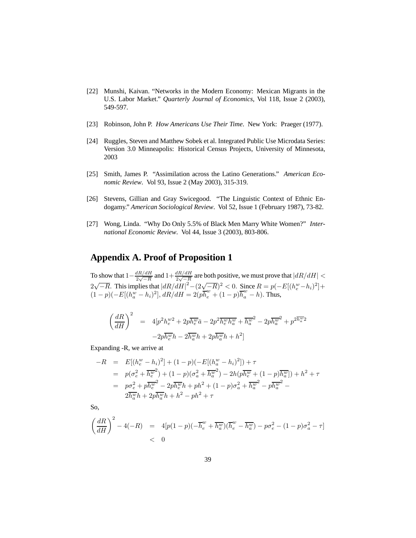- [22] Munshi, Kaivan. "Networks in the Modern Economy: Mexican Migrants in the U.S. Labor Market." *Quarterly Journal of Economics*, Vol 118, Issue 2 (2003), 549-597.
- [23] Robinson, John P. *How Americans Use Their Time*. New York: Praeger (1977).
- [24] Ruggles, Steven and Matthew Sobek et al. Integrated Public Use Microdata Series: Version 3.0 Minneapolis: Historical Census Projects, University of Minnesota, 2003
- [25] Smith, James P. "Assimilation across the Latino Generations." *American Economic Review*. Vol 93, Issue 2 (May 2003), 315-319.
- [26] Stevens, Gillian and Gray Swicegood. "The Linguistic Context of Ethnic Endogamy." *American Sociological Review*. Vol 52, Issue 1 (February 1987), 73-82.
- [27] Wong, Linda. "Why Do Only 5.5% of Black Men Marry White Women?" *International Economic Review*. Vol 44, Issue 3 (2003), 803-806.

# **Appendix A. Proof of Proposition 1**

To show that  $1-\frac{dR/dH}{2\sqrt{-R}}$  and  $1+\frac{dR/dH}{2\sqrt{-R}}$  are both positive, we must prove that  $|dR/dH|$  <  $2\sqrt{-R}$ . This implies that  $\left| dR/dH \right|^2 - \left(2\sqrt{-R} \right)^2 < 0$ . Since  $R = p(-E[(h_e^w - h_i)^2] +$  $(1-p)(-E[(h_a^w - h_i)^2], dR/dH = 2(p\overline{h}_e^w + (1-p)\overline{h}_a^w - h).$  Thus,

$$
\left(\frac{dR}{dH}\right)^2 = 4[p^2h_e^{w2} + 2p\overline{h_e^w}\overline{a} - 2p^2\overline{h_e^w}\overline{h_e^w} + \overline{h_e^{w}}^2 - 2p\overline{h_e^{w}}^2 + p^{2\overline{h_e^w}}^2 - 2p\overline{h_e^w}\overline{h_e} - 2\overline{h_e^w}\overline{h_e} + 2p\overline{h_e^w}\overline{h_e} + \overline{h_e^{w}}^2]
$$

Expanding -R, we arrive at

$$
-R = E[(h_e^w - h_i)^2] + (1 - p)(-E[(h_a^w - h_i)^2]) + \tau
$$
  
\n
$$
= p(\sigma_e^2 + \overline{h_e^w}^2) + (1 - p)(\sigma_a^2 + \overline{h_a^w}^2) - 2h(p\overline{h_e^w} + (1 - p)\overline{h_a^w}]) + h^2 + \tau
$$
  
\n
$$
= p\sigma_e^2 + p\overline{h_e^w}^2 - 2p\overline{h_e^w}h + ph^2 + (1 - p)\sigma_a^2 + \overline{h_a^w}^2 - p\overline{h_a^w}^2 - 2\overline{h_e^w}h + 2p\overline{h_a^w}h + h^2 - ph^2 + \tau
$$

So,

$$
\left(\frac{dR}{dH}\right)^2 - 4(-R) = 4[p(1-p)(-\overline{h}_e^w + \overline{h_a^w})(\overline{h}_e^w - \overline{h_a^w}) - p\sigma_e^2 - (1-p)\sigma_a^2 - \tau]
$$
  
< 0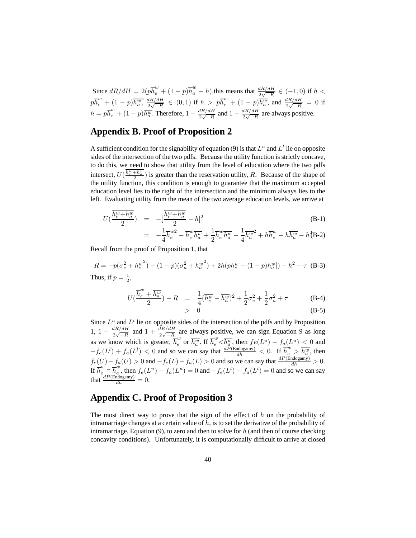Since  $dR/dH = 2(p\overline{h}_e^w + (1-p)\overline{h}_a^w - h)$ , this means that  $\frac{dR/dH}{2\sqrt{-R}} \in (-1,0)$  if  $h <$  $p\overline{h}_{e}^{w} + (1-p)\overline{h_{a}^{w}}, \frac{dR/dH}{2\sqrt{-R}} \in (0,1)$  if  $h > p\overline{h}_{e}^{w} + (1-p)\overline{h_{a}^{w}},$  and  $\frac{dR/dH}{2\sqrt{-R}} = 0$  if  $h = p\overline{h}_e^w + (1-p)\overline{h}_a^w$ . Therefore,  $1 - \frac{dR/dH}{2\sqrt{-R}}$  and  $1 + \frac{dR/dH}{2\sqrt{-R}}$  are always positive.

# **Appendix B. Proof of Proposition 2**

A sufficient condition for the signability of equation (9) is that  $L^u$  and  $L^l$  lie on opposite sides of the intersection of the two pdfs. Because the utility function is strictly concave, to do this, we need to show that utility from the level of education where the two pdfs intersect,  $U(\frac{h_e^w + h_u^w}{2})$  is greater than the reservation utility, R. Because of the shape of the utility function, this condition is enough to guarantee that the maximum accepted education level lies to the right of the intersection and the minimum always lies to the left. Evaluating utility from the mean of the two average education levels, we arrive at

$$
U(\frac{\overline{h_e^w + h_a^w}}{2}) = -[\frac{\overline{h_e^w + h_a^w}}{2} - h]^2
$$
\n
$$
1 - w^2 - w = 1 - w = 1 - 2 - w = 0
$$
\n(B-1)

$$
= -\frac{1}{4}\overline{h}_e^{w2} - \overline{h}_e^{w}\overline{h}_a^{w} + \frac{1}{2}\overline{h}_e^{w}\overline{h}_a^{w} - \frac{1}{4}\overline{h}_a^{w2} + h\overline{h}_e^{w} + h\overline{h}_a^{w} - h^2B-2)
$$

Recall from the proof of Proposition 1, that

$$
R = -p(\sigma_e^2 + \overline{h_e^w}^2) - (1 - p)(\sigma_a^2 + \overline{h_a^w}^2) + 2h(p\overline{h_e^w} + (1 - p)\overline{h_a^w}]) - h^2 - \tau
$$
 (B-3)  
Thus, if  $p = \frac{1}{2}$ ,

$$
U(\frac{\overline{h}^w_e + \overline{h^w_u}}{2}) - R = \frac{1}{4}(\overline{h^w_e} - \overline{h^w_u})^2 + \frac{1}{2}\sigma_e^2 + \frac{1}{2}\sigma_a^2 + \tau
$$

 $> 0$ 

$$
> \quad 0 \tag{B-5}
$$

 $(B-4)$ 

Since  $L^u$  and  $L^l$  lie on opposite sides of the intersection of the pdfs and by Proposition 1,  $1 - \frac{dR/dH}{2\sqrt{-R}}$  and  $1 + \frac{dR/dH}{2\sqrt{-R}}$  are always positive, we can sign Equation 9 as long as we know which is greater,  $\overline{h_e^w}$  or  $\overline{h_e^w}$ . If  $\overline{h_e^w} < \overline{h_e^w}$ , then  $fe(L^u) - f_a(L^u) \leq 0$  and  $-f_e(L^l) + f_a(L^l) < 0$  and so we can say that  $\frac{d\tilde{P}(\text{Endogamy})}{dh} < 0$ . If  $\overline{h_e^w} > \overline{h_a^w}$ , then  $f_e(U) - f_a(U) > 0$  and  $-f_e(L) + f_a(L) > 0$  and so we can say that  $\frac{dP(\text{Endogamy})}{dh} > 0$ . If  $\overline{h}_{e}^{w} = \overline{h}_{e}^{w}$ , then  $f_{e}(L^{u}) - f_{a}(L^{u}) = 0$  and  $-f_{e}(L^{l}) + f_{a}(L^{l}) = 0$  and so we can say that  $\frac{dP(\text{Endogamy})}{dh} = 0.$ 

### **Appendix C. Proof of Proposition 3**

The most direct way to prove that the sign of the effect of  $h$  on the probability of intramarriage changes at a certain value of  $h$ , is to set the derivative of the probability of intramarriage, Equation (9), to zero and then to solve for  $h$  (and then of course checking concavity conditions). Unfortunately, it is computationally difficult to arrive at closed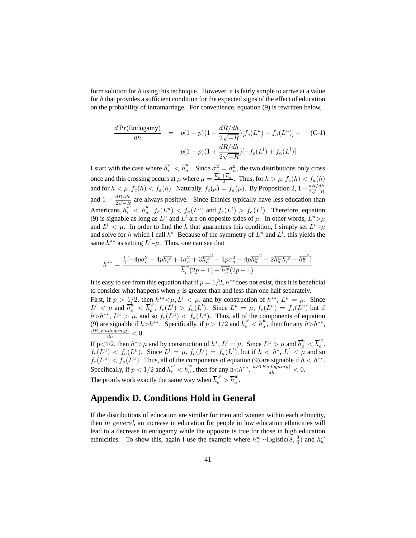form solution for h using this technique. However, it is fairly simple to arrive at a value for  $h$  that provides a sufficient condition for the expected signs of the effect of education on the probability of intramarriage. For convenience, equation (9) is rewritten below,

$$
\frac{d \Pr(\text{Endogamy})}{dh} = p(1-p)(1 - \frac{dR/dh}{2\sqrt{-R}})[f_e(L^u) - f_a(L^u)] + (C-1)
$$

$$
p(1-p)(1 + \frac{dR/dh}{2\sqrt{-R}})[-f_e(L^l) + f_a(L^l)]
$$

I start with the case where  $\overline{h}_{e}^{w} < \overline{h}_{a}^{w}$ . Since  $\sigma_{e}^{2} = \sigma_{a}^{2}$ , the two distributions only cross once and this crossing occurs at  $\mu$  where  $\mu = \frac{\overline{h}_e^w + \overline{h}_a^w}{2}$ . Thus, for  $h > \mu$ ,  $f_e(h) < f_a(h)$ and for  $h < \mu$ ,  $f_e(h) < f_a(h)$ . Naturally,  $f_e(\mu) = f_a(\mu)$ . By Proposition 2,  $1 - \frac{dR/dh}{2\sqrt{-R}}$ and  $1 + \frac{dR/dh}{2\sqrt{-R}}$  are always positive. Since Ethnics typically have less education than Americans,  $\overline{h_e^w} < \overline{h_a^w}$ ,  $f_e(L^u) < f_a(L^u)$  and  $f_e(L^l) > f_a(L^l)$ . Therefore, equation (9) is signable as long as  $L^u$  and  $L^l$  are on opposite sides of  $\mu$ . In other words,  $L^u > \mu$ and  $L^l < \mu$ . In order to find the h that guarantees this condition, I simply set  $L^u = \mu$ and solve for h which I call  $h^*$  Because of the symmetry of  $L^u$  and  $L^l$ , this yields the same  $h^{**}$  as setting  $L^l = \mu$ . Thus, one can see that

$$
h^{**} = \frac{\frac{1}{4}[-4p\sigma_e^2 - 4p\overline{h_e^w} + 4\sigma_a^2 + 3\overline{h_a^w}^2 - 4p\sigma_a^2 - 4p\overline{h_a^w}^2 - 2\overline{h_a^w}h_e^w - \overline{h_e^w}^2]}{\overline{h_e^w}(2p - 1) - \overline{h_a^w}(2p - 1)}
$$

It is easy to see from this equation that if  $p = 1/2$ ,  $h^{**}$  does not exist, thus it is beneficial to consider what happens when  $p$  is greater than and less than one half separately.

First, if  $p > 1/2$ , then  $h^{**} < \mu, L^l < \mu$ , and by construction of  $h^{**}, L^u = \mu$ . Since  $L^l < \mu$  and  $\overline{h}_e^{w} < \overline{h}_a^{w}$ ,  $f_e(L^l) > f_a(L^l)$ . Since  $L^u = \mu$ ,  $f_e(L^u) = f_a(L^u)$  but if  $h > h^{**}$ ,  $L^u > \mu$ . and so  $f_e(L^u) < f_a(L^u)$ . Thus, all of the components of equation (9) are signable if  $h > h^{**}$ . Specifically, if  $p > 1/2$  and  $\overline{h}_{e}^{w} < \overline{h}_{a}^{w}$ , then for any  $h > h^{**}$ ,  $dP(Endogamy) < 0$  $\frac{dP(Endogamy)}{dh} < 0.$ 

If p<1/2, then  $h^* > \mu$  and by construction of  $h^*$ ,  $L^l = \mu$ . Since  $L^u > \mu$  and  $\overline{h}_e^w < \overline{h}_a^w$ ,  $f_e(L^u) < f_a(L^u)$ . Since  $L^l = \mu$ ,  $f_e(L^l) = f_a(L^l)$ , but if  $h < h^*, L^l < \mu$  and so  $f_e(L^u) < f_a(L^u)$ . Thus, all of the components of equation (9) are signable if  $h < h^{**}$ . Specifically, if  $p < 1/2$  and  $\overline{h}_e^w < \overline{h}_a^w$ , then for any  $h < h^{**}$ ,  $\frac{dP(Endogamy)}{dh} < 0$ . The proofs work exactly the same way when  $\overline{h}_{e}^{w} > \overline{h}_{a}^{w}$ .

### **Appendix D. Conditions Hold in General**

If the distributions of education are similar for men and women within each ethnicity, then in general, an increase in education for people in low education ethnicities will lead to a decrease in endogamy while the opposite is true for those in high education ethnicities. To show this, again I use the example where  $h_e^w$  ~logistic(8,  $\frac{3}{4}$ ) and  $h_a^w$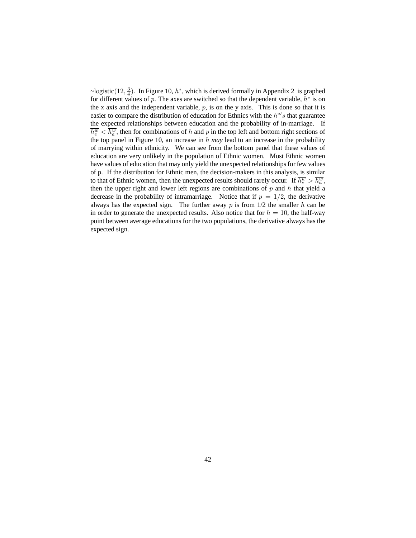~logistic(12,  $\frac{3}{4}$ ). In Figure 10,  $h^*$ , which is derived formally in Appendix 2 is graphed for different values of p. The axes are switched so that the dependent variable,  $h^*$  is on the x axis and the independent variable,  $p$ , is on the y axis. This is done so that it is easier to compare the distribution of education for Ethnics with the  $h^{*}$ s that guarantee the expected relationships between education and the probability of in-marriage. If  $\overline{h_e^w} < \overline{h_a^w}$ , then for combinations of h and p in the top left and bottom right sections of the top panel in Figure 10, an increase in h *may* lead to an increase in the probability of marrying within ethnicity. We can see from the bottom panel that these values of education are very unlikely in the population of Ethnic women. Most Ethnic women have values of education that may only yield the unexpected relationships for few values of p. If the distribution for Ethnic men, the decision-makers in this analysis, is similar to that of Ethnic women, then the unexpected results should rarely occur. If  $\overline{h_e^w} > \overline{h_a^w}$ , then the upper right and lower left regions are combinations of  $p$  and  $h$  that yield a decrease in the probability of intramarriage. Notice that if  $p = 1/2$ , the derivative always has the expected sign. The further away  $p$  is from  $1/2$  the smaller  $h$  can be in order to generate the unexpected results. Also notice that for  $h = 10$ , the half-way point between average educations for the two populations, the derivative always has the expected sign.